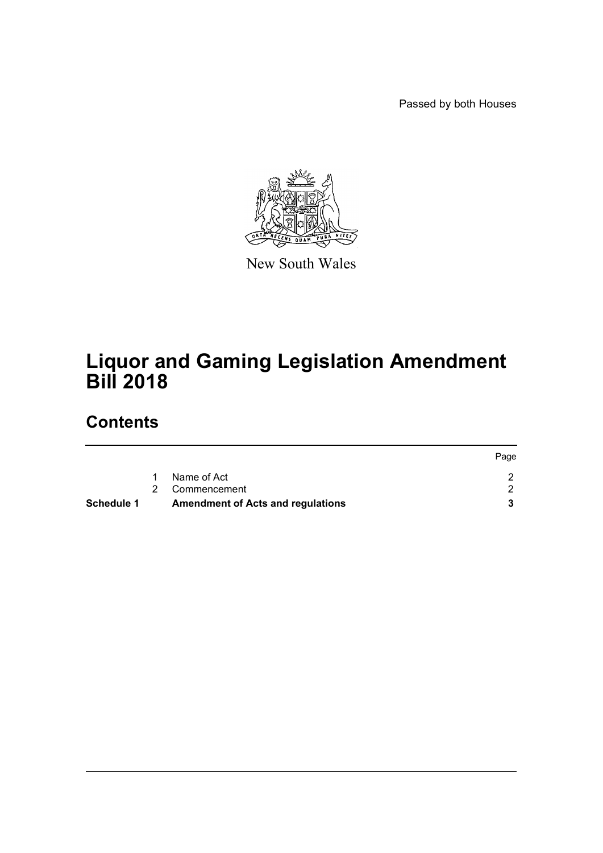Passed by both Houses



New South Wales

# **Liquor and Gaming Legislation Amendment Bill 2018**

# **Contents**

| Schedule 1 |   | <b>Amendment of Acts and regulations</b> |      |
|------------|---|------------------------------------------|------|
|            |   | 2 Commencement                           |      |
|            | 1 | Name of Act                              |      |
|            |   |                                          | Page |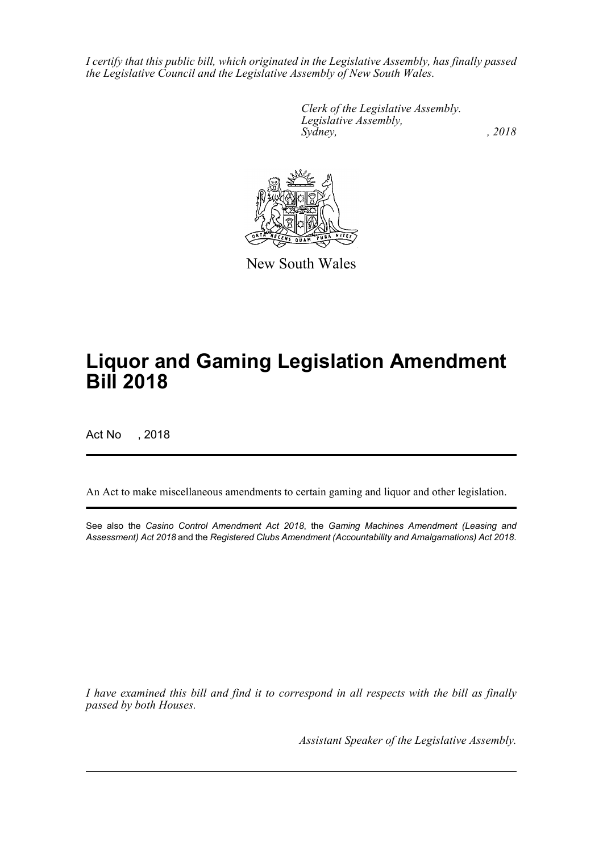*I certify that this public bill, which originated in the Legislative Assembly, has finally passed the Legislative Council and the Legislative Assembly of New South Wales.*

> *Clerk of the Legislative Assembly. Legislative Assembly, Sydney, , 2018*



New South Wales

# **Liquor and Gaming Legislation Amendment Bill 2018**

Act No , 2018

An Act to make miscellaneous amendments to certain gaming and liquor and other legislation.

See also the *Casino Control Amendment Act 2018*, the *Gaming Machines Amendment (Leasing and Assessment) Act 2018* and the *Registered Clubs Amendment (Accountability and Amalgamations) Act 2018*.

*I have examined this bill and find it to correspond in all respects with the bill as finally passed by both Houses.*

*Assistant Speaker of the Legislative Assembly.*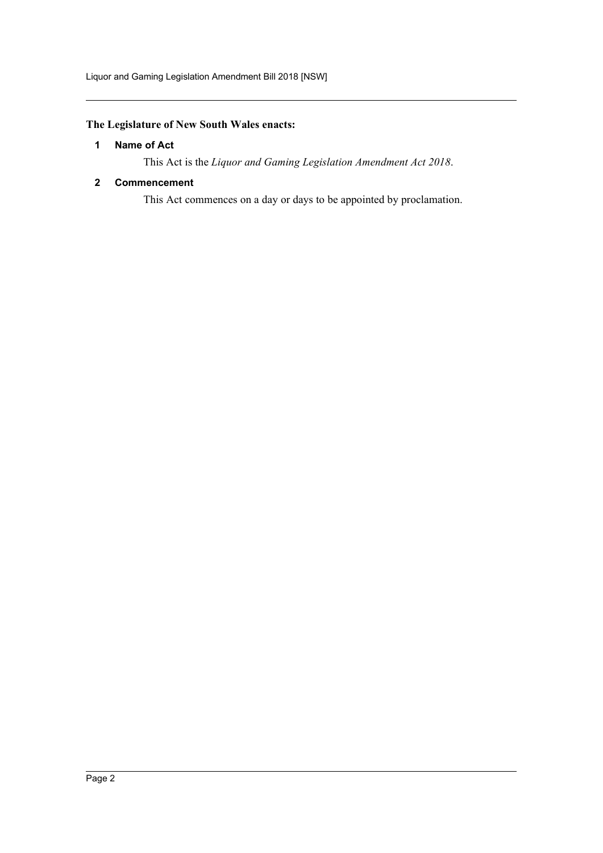Liquor and Gaming Legislation Amendment Bill 2018 [NSW]

### <span id="page-2-0"></span>**The Legislature of New South Wales enacts:**

### **1 Name of Act**

This Act is the *Liquor and Gaming Legislation Amendment Act 2018*.

### <span id="page-2-1"></span>**2 Commencement**

This Act commences on a day or days to be appointed by proclamation.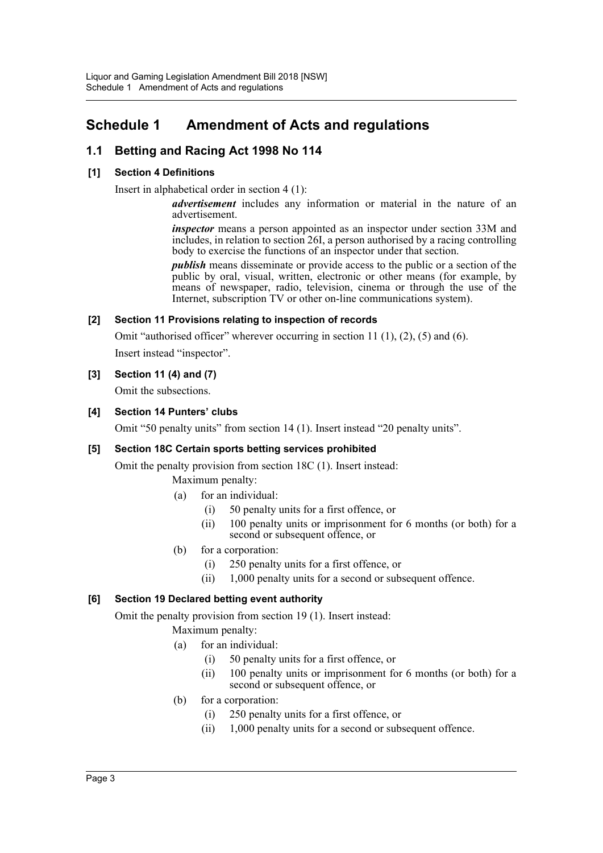# <span id="page-3-0"></span>**Schedule 1 Amendment of Acts and regulations**

## **1.1 Betting and Racing Act 1998 No 114**

### **[1] Section 4 Definitions**

Insert in alphabetical order in section 4 (1):

*advertisement* includes any information or material in the nature of an advertisement.

*inspector* means a person appointed as an inspector under section 33M and includes, in relation to section 26I, a person authorised by a racing controlling body to exercise the functions of an inspector under that section.

*publish* means disseminate or provide access to the public or a section of the public by oral, visual, written, electronic or other means (for example, by means of newspaper, radio, television, cinema or through the use of the Internet, subscription TV or other on-line communications system).

### **[2] Section 11 Provisions relating to inspection of records**

Omit "authorised officer" wherever occurring in section  $11$   $(1)$ ,  $(2)$ ,  $(5)$  and  $(6)$ .

Insert instead "inspector".

### **[3] Section 11 (4) and (7)**

Omit the subsections.

### **[4] Section 14 Punters' clubs**

Omit "50 penalty units" from section 14 (1). Insert instead "20 penalty units".

### **[5] Section 18C Certain sports betting services prohibited**

Omit the penalty provision from section 18C (1). Insert instead:

Maximum penalty:

- (a) for an individual:
	- (i) 50 penalty units for a first offence, or
	- (ii) 100 penalty units or imprisonment for 6 months (or both) for a second or subsequent offence, or
- (b) for a corporation:
	- (i) 250 penalty units for a first offence, or
	- (ii) 1,000 penalty units for a second or subsequent offence.

### **[6] Section 19 Declared betting event authority**

Omit the penalty provision from section 19 (1). Insert instead:

- (a) for an individual:
	- (i) 50 penalty units for a first offence, or
	- (ii) 100 penalty units or imprisonment for 6 months (or both) for a second or subsequent offence, or
- (b) for a corporation:
	- (i) 250 penalty units for a first offence, or
	- (ii) 1,000 penalty units for a second or subsequent offence.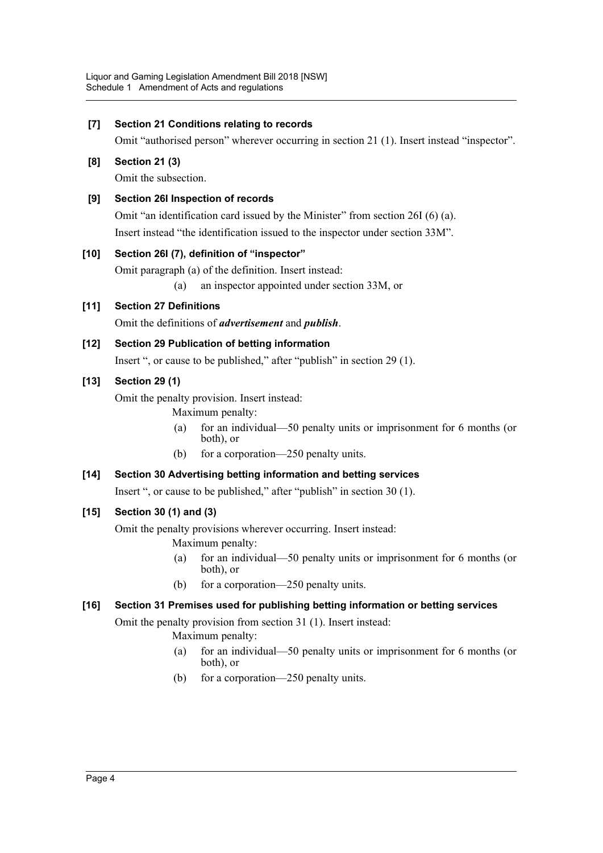### **[7] Section 21 Conditions relating to records**

Omit "authorised person" wherever occurring in section 21 (1). Insert instead "inspector".

**[8] Section 21 (3)**

Omit the subsection.

### **[9] Section 26I Inspection of records**

Omit "an identification card issued by the Minister" from section 26I (6) (a). Insert instead "the identification issued to the inspector under section 33M".

### **[10] Section 26I (7), definition of "inspector"**

Omit paragraph (a) of the definition. Insert instead:

(a) an inspector appointed under section 33M, or

### **[11] Section 27 Definitions**

Omit the definitions of *advertisement* and *publish*.

### **[12] Section 29 Publication of betting information**

Insert ", or cause to be published," after "publish" in section 29 (1).

### **[13] Section 29 (1)**

Omit the penalty provision. Insert instead:

Maximum penalty:

- (a) for an individual—50 penalty units or imprisonment for 6 months (or both), or
- (b) for a corporation—250 penalty units.

### **[14] Section 30 Advertising betting information and betting services**

Insert ", or cause to be published," after "publish" in section 30 (1).

### **[15] Section 30 (1) and (3)**

Omit the penalty provisions wherever occurring. Insert instead:

Maximum penalty:

- (a) for an individual—50 penalty units or imprisonment for 6 months (or both), or
- (b) for a corporation—250 penalty units.

### **[16] Section 31 Premises used for publishing betting information or betting services**

Omit the penalty provision from section 31 (1). Insert instead:

- (a) for an individual—50 penalty units or imprisonment for 6 months (or both), or
- (b) for a corporation—250 penalty units.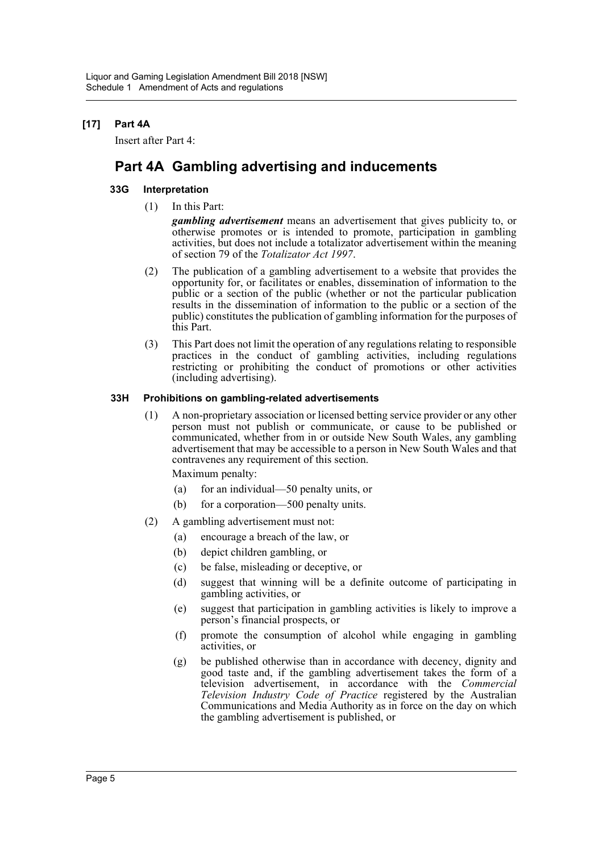### **[17] Part 4A**

Insert after Part 4:

# **Part 4A Gambling advertising and inducements**

### **33G Interpretation**

(1) In this Part:

*gambling advertisement* means an advertisement that gives publicity to, or otherwise promotes or is intended to promote, participation in gambling activities, but does not include a totalizator advertisement within the meaning of section 79 of the *Totalizator Act 1997*.

- (2) The publication of a gambling advertisement to a website that provides the opportunity for, or facilitates or enables, dissemination of information to the public or a section of the public (whether or not the particular publication results in the dissemination of information to the public or a section of the public) constitutes the publication of gambling information for the purposes of this Part.
- (3) This Part does not limit the operation of any regulations relating to responsible practices in the conduct of gambling activities, including regulations restricting or prohibiting the conduct of promotions or other activities (including advertising).

### **33H Prohibitions on gambling-related advertisements**

(1) A non-proprietary association or licensed betting service provider or any other person must not publish or communicate, or cause to be published or communicated, whether from in or outside New South Wales, any gambling advertisement that may be accessible to a person in New South Wales and that contravenes any requirement of this section.

- (a) for an individual—50 penalty units, or
- (b) for a corporation—500 penalty units.
- (2) A gambling advertisement must not:
	- (a) encourage a breach of the law, or
	- (b) depict children gambling, or
	- (c) be false, misleading or deceptive, or
	- (d) suggest that winning will be a definite outcome of participating in gambling activities, or
	- (e) suggest that participation in gambling activities is likely to improve a person's financial prospects, or
	- (f) promote the consumption of alcohol while engaging in gambling activities, or
	- (g) be published otherwise than in accordance with decency, dignity and good taste and, if the gambling advertisement takes the form of a television advertisement, in accordance with the *Commercial Television Industry Code of Practice* registered by the Australian Communications and Media Authority as in force on the day on which the gambling advertisement is published, or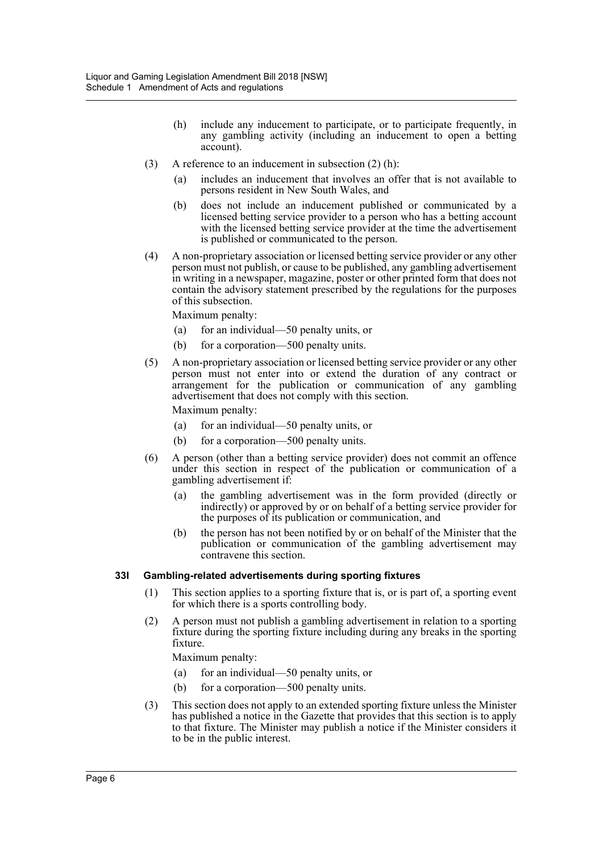- (h) include any inducement to participate, or to participate frequently, in any gambling activity (including an inducement to open a betting account).
- (3) A reference to an inducement in subsection (2) (h):
	- (a) includes an inducement that involves an offer that is not available to persons resident in New South Wales, and
	- (b) does not include an inducement published or communicated by a licensed betting service provider to a person who has a betting account with the licensed betting service provider at the time the advertisement is published or communicated to the person.
- (4) A non-proprietary association or licensed betting service provider or any other person must not publish, or cause to be published, any gambling advertisement in writing in a newspaper, magazine, poster or other printed form that does not contain the advisory statement prescribed by the regulations for the purposes of this subsection.

Maximum penalty:

- (a) for an individual—50 penalty units, or
- (b) for a corporation—500 penalty units.
- (5) A non-proprietary association or licensed betting service provider or any other person must not enter into or extend the duration of any contract or arrangement for the publication or communication of any gambling advertisement that does not comply with this section.

Maximum penalty:

- (a) for an individual—50 penalty units, or
- (b) for a corporation—500 penalty units.
- (6) A person (other than a betting service provider) does not commit an offence under this section in respect of the publication or communication of a gambling advertisement if:
	- (a) the gambling advertisement was in the form provided (directly or indirectly) or approved by or on behalf of a betting service provider for the purposes of its publication or communication, and
	- (b) the person has not been notified by or on behalf of the Minister that the publication or communication of the gambling advertisement may contravene this section.

#### **33I Gambling-related advertisements during sporting fixtures**

- (1) This section applies to a sporting fixture that is, or is part of, a sporting event for which there is a sports controlling body.
- (2) A person must not publish a gambling advertisement in relation to a sporting fixture during the sporting fixture including during any breaks in the sporting fixture.

- (a) for an individual—50 penalty units, or
- (b) for a corporation—500 penalty units.
- (3) This section does not apply to an extended sporting fixture unless the Minister has published a notice in the Gazette that provides that this section is to apply to that fixture. The Minister may publish a notice if the Minister considers it to be in the public interest.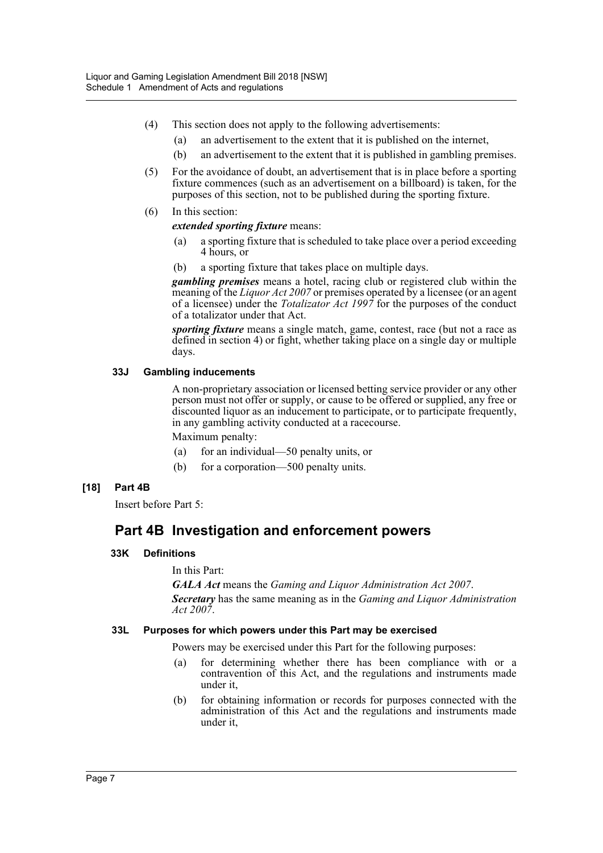- (4) This section does not apply to the following advertisements:
	- (a) an advertisement to the extent that it is published on the internet,
	- (b) an advertisement to the extent that it is published in gambling premises.
- (5) For the avoidance of doubt, an advertisement that is in place before a sporting fixture commences (such as an advertisement on a billboard) is taken, for the purposes of this section, not to be published during the sporting fixture.
- (6) In this section:

*extended sporting fixture* means:

- (a) a sporting fixture that is scheduled to take place over a period exceeding 4 hours, or
- (b) a sporting fixture that takes place on multiple days.

*gambling premises* means a hotel, racing club or registered club within the meaning of the *Liquor Act 2007* or premises operated by a licensee (or an agent of a licensee) under the *Totalizator Act 1997* for the purposes of the conduct of a totalizator under that Act.

*sporting fixture* means a single match, game, contest, race (but not a race as defined in section 4) or fight, whether taking place on a single day or multiple days.

### **33J Gambling inducements**

A non-proprietary association or licensed betting service provider or any other person must not offer or supply, or cause to be offered or supplied, any free or discounted liquor as an inducement to participate, or to participate frequently, in any gambling activity conducted at a racecourse.

Maximum penalty:

- (a) for an individual—50 penalty units, or
- (b) for a corporation—500 penalty units.

### **[18] Part 4B**

Insert before Part 5:

# **Part 4B Investigation and enforcement powers**

### **33K Definitions**

In this Part:

*GALA Act* means the *Gaming and Liquor Administration Act 2007*. *Secretary* has the same meaning as in the *Gaming and Liquor Administration Act 2007*.

### **33L Purposes for which powers under this Part may be exercised**

Powers may be exercised under this Part for the following purposes:

- (a) for determining whether there has been compliance with or a contravention of this Act, and the regulations and instruments made under it,
- (b) for obtaining information or records for purposes connected with the administration of this Act and the regulations and instruments made under it,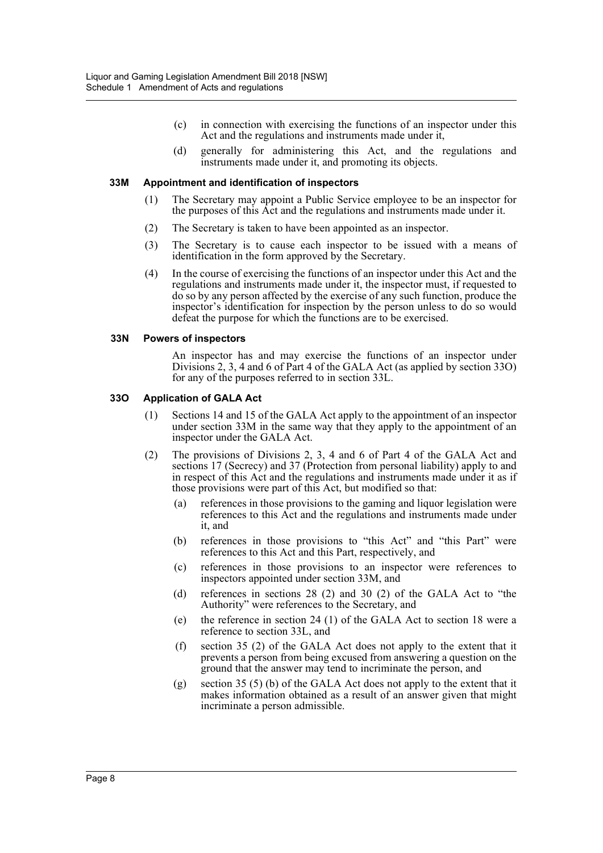- (c) in connection with exercising the functions of an inspector under this Act and the regulations and instruments made under it,
- (d) generally for administering this Act, and the regulations and instruments made under it, and promoting its objects.

#### **33M Appointment and identification of inspectors**

- (1) The Secretary may appoint a Public Service employee to be an inspector for the purposes of this Act and the regulations and instruments made under it.
- (2) The Secretary is taken to have been appointed as an inspector.
- (3) The Secretary is to cause each inspector to be issued with a means of identification in the form approved by the Secretary.
- (4) In the course of exercising the functions of an inspector under this Act and the regulations and instruments made under it, the inspector must, if requested to do so by any person affected by the exercise of any such function, produce the inspector's identification for inspection by the person unless to do so would defeat the purpose for which the functions are to be exercised.

#### **33N Powers of inspectors**

An inspector has and may exercise the functions of an inspector under Divisions 2, 3, 4 and 6 of Part 4 of the GALA Act (as applied by section 33O) for any of the purposes referred to in section 33L.

### **33O Application of GALA Act**

- (1) Sections 14 and 15 of the GALA Act apply to the appointment of an inspector under section 33M in the same way that they apply to the appointment of an inspector under the GALA Act.
- (2) The provisions of Divisions 2, 3, 4 and 6 of Part 4 of the GALA Act and sections 17 (Secrecy) and 37 (Protection from personal liability) apply to and in respect of this Act and the regulations and instruments made under it as if those provisions were part of this Act, but modified so that:
	- (a) references in those provisions to the gaming and liquor legislation were references to this Act and the regulations and instruments made under it, and
	- (b) references in those provisions to "this Act" and "this Part" were references to this Act and this Part, respectively, and
	- (c) references in those provisions to an inspector were references to inspectors appointed under section 33M, and
	- (d) references in sections 28 (2) and 30 (2) of the GALA Act to "the Authority" were references to the Secretary, and
	- (e) the reference in section 24 (1) of the GALA Act to section 18 were a reference to section 33L, and
	- (f) section 35 (2) of the GALA Act does not apply to the extent that it prevents a person from being excused from answering a question on the ground that the answer may tend to incriminate the person, and
	- (g) section 35 (5) (b) of the GALA Act does not apply to the extent that it makes information obtained as a result of an answer given that might incriminate a person admissible.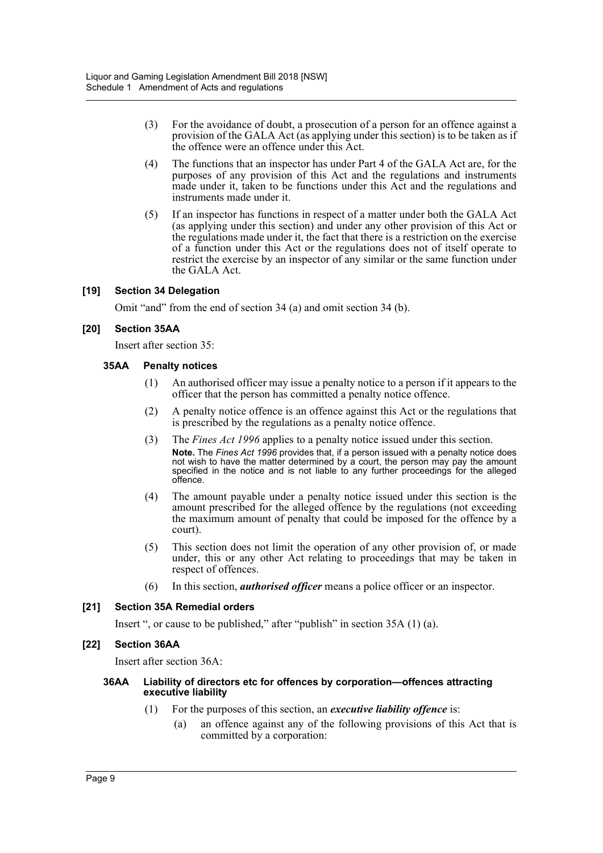- (3) For the avoidance of doubt, a prosecution of a person for an offence against a provision of the GALA Act (as applying under this section) is to be taken as if the offence were an offence under this Act.
- (4) The functions that an inspector has under Part 4 of the GALA Act are, for the purposes of any provision of this Act and the regulations and instruments made under it, taken to be functions under this Act and the regulations and instruments made under it.
- (5) If an inspector has functions in respect of a matter under both the GALA Act (as applying under this section) and under any other provision of this Act or the regulations made under it, the fact that there is a restriction on the exercise of a function under this Act or the regulations does not of itself operate to restrict the exercise by an inspector of any similar or the same function under the GALA Act.

### **[19] Section 34 Delegation**

Omit "and" from the end of section 34 (a) and omit section 34 (b).

### **[20] Section 35AA**

Insert after section 35:

### **35AA Penalty notices**

- (1) An authorised officer may issue a penalty notice to a person if it appears to the officer that the person has committed a penalty notice offence.
- (2) A penalty notice offence is an offence against this Act or the regulations that is prescribed by the regulations as a penalty notice offence.
- (3) The *Fines Act 1996* applies to a penalty notice issued under this section. **Note.** The *Fines Act 1996* provides that, if a person issued with a penalty notice does not wish to have the matter determined by a court, the person may pay the amount specified in the notice and is not liable to any further proceedings for the alleged offence.
- (4) The amount payable under a penalty notice issued under this section is the amount prescribed for the alleged offence by the regulations (not exceeding the maximum amount of penalty that could be imposed for the offence by a court).
- (5) This section does not limit the operation of any other provision of, or made under, this or any other Act relating to proceedings that may be taken in respect of offences.
- (6) In this section, *authorised officer* means a police officer or an inspector.

### **[21] Section 35A Remedial orders**

Insert ", or cause to be published," after "publish" in section 35A (1) (a).

### **[22] Section 36AA**

Insert after section 36A:

#### **36AA Liability of directors etc for offences by corporation—offences attracting executive liability**

- (1) For the purposes of this section, an *executive liability offence* is:
	- (a) an offence against any of the following provisions of this Act that is committed by a corporation: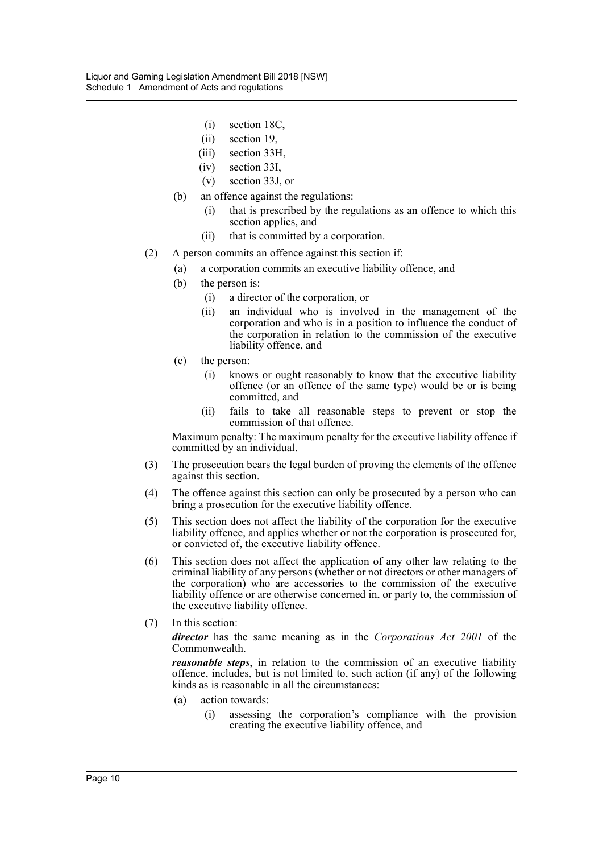- (i) section 18C,
- (ii) section 19,
- (iii) section 33H,
- (iv) section 33I,
- (v) section 33J, or
- (b) an offence against the regulations:
	- (i) that is prescribed by the regulations as an offence to which this section applies, and
	- (ii) that is committed by a corporation.
- (2) A person commits an offence against this section if:
	- (a) a corporation commits an executive liability offence, and
	- (b) the person is:
		- (i) a director of the corporation, or
		- (ii) an individual who is involved in the management of the corporation and who is in a position to influence the conduct of the corporation in relation to the commission of the executive liability offence, and
	- (c) the person:
		- (i) knows or ought reasonably to know that the executive liability offence (or an offence of the same type) would be or is being committed, and
		- (ii) fails to take all reasonable steps to prevent or stop the commission of that offence.

Maximum penalty: The maximum penalty for the executive liability offence if committed by an individual.

- (3) The prosecution bears the legal burden of proving the elements of the offence against this section.
- (4) The offence against this section can only be prosecuted by a person who can bring a prosecution for the executive liability offence.
- (5) This section does not affect the liability of the corporation for the executive liability offence, and applies whether or not the corporation is prosecuted for, or convicted of, the executive liability offence.
- (6) This section does not affect the application of any other law relating to the criminal liability of any persons (whether or not directors or other managers of the corporation) who are accessories to the commission of the executive liability offence or are otherwise concerned in, or party to, the commission of the executive liability offence.
- (7) In this section:

*director* has the same meaning as in the *Corporations Act 2001* of the Commonwealth.

*reasonable steps*, in relation to the commission of an executive liability offence, includes, but is not limited to, such action (if any) of the following kinds as is reasonable in all the circumstances:

- (a) action towards:
	- (i) assessing the corporation's compliance with the provision creating the executive liability offence, and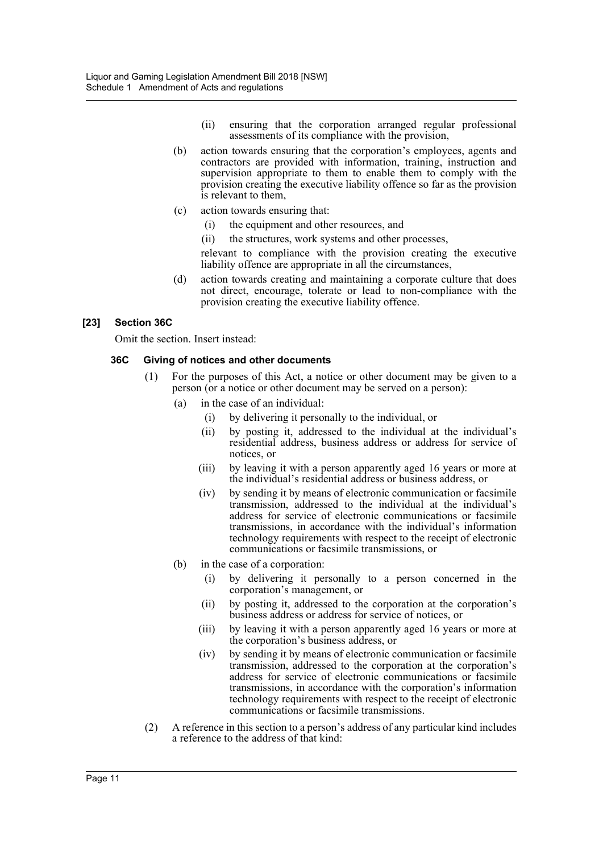- (ii) ensuring that the corporation arranged regular professional assessments of its compliance with the provision,
- (b) action towards ensuring that the corporation's employees, agents and contractors are provided with information, training, instruction and supervision appropriate to them to enable them to comply with the provision creating the executive liability offence so far as the provision is relevant to them,
- (c) action towards ensuring that:
	- (i) the equipment and other resources, and
	- (ii) the structures, work systems and other processes,

relevant to compliance with the provision creating the executive liability offence are appropriate in all the circumstances,

(d) action towards creating and maintaining a corporate culture that does not direct, encourage, tolerate or lead to non-compliance with the provision creating the executive liability offence.

### **[23] Section 36C**

Omit the section. Insert instead:

#### **36C Giving of notices and other documents**

- (1) For the purposes of this Act, a notice or other document may be given to a person (or a notice or other document may be served on a person):
	- (a) in the case of an individual:
		- (i) by delivering it personally to the individual, or
		- (ii) by posting it, addressed to the individual at the individual's residential address, business address or address for service of notices, or
		- (iii) by leaving it with a person apparently aged 16 years or more at the individual's residential address or business address, or
		- (iv) by sending it by means of electronic communication or facsimile transmission, addressed to the individual at the individual's address for service of electronic communications or facsimile transmissions, in accordance with the individual's information technology requirements with respect to the receipt of electronic communications or facsimile transmissions, or
	- (b) in the case of a corporation:
		- (i) by delivering it personally to a person concerned in the corporation's management, or
		- (ii) by posting it, addressed to the corporation at the corporation's business address or address for service of notices, or
		- (iii) by leaving it with a person apparently aged 16 years or more at the corporation's business address, or
		- (iv) by sending it by means of electronic communication or facsimile transmission, addressed to the corporation at the corporation's address for service of electronic communications or facsimile transmissions, in accordance with the corporation's information technology requirements with respect to the receipt of electronic communications or facsimile transmissions.
- (2) A reference in this section to a person's address of any particular kind includes a reference to the address of that kind: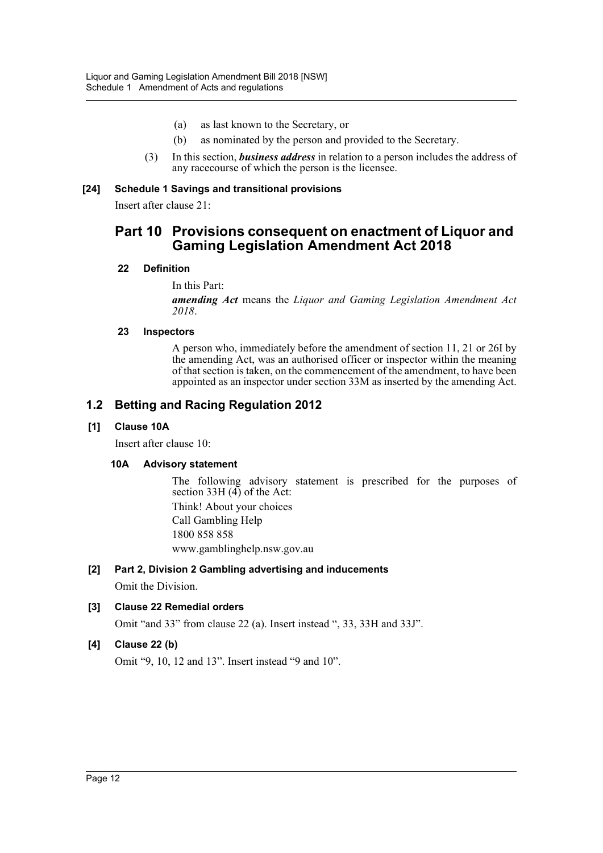- (a) as last known to the Secretary, or
- (b) as nominated by the person and provided to the Secretary.
- (3) In this section, *business address* in relation to a person includes the address of any racecourse of which the person is the licensee.

#### **[24] Schedule 1 Savings and transitional provisions**

Insert after clause 21:

### **Part 10 Provisions consequent on enactment of Liquor and Gaming Legislation Amendment Act 2018**

#### **22 Definition**

In this Part: *amending Act* means the *Liquor and Gaming Legislation Amendment Act 2018*.

#### **23 Inspectors**

A person who, immediately before the amendment of section 11, 21 or 26I by the amending Act, was an authorised officer or inspector within the meaning of that section is taken, on the commencement of the amendment, to have been appointed as an inspector under section 33M as inserted by the amending Act.

### **1.2 Betting and Racing Regulation 2012**

#### **[1] Clause 10A**

Insert after clause 10:

### **10A Advisory statement**

The following advisory statement is prescribed for the purposes of section 33H $(4)$  of the Act: Think! About your choices Call Gambling Help 1800 858 858 www.gamblinghelp.nsw.gov.au

### **[2] Part 2, Division 2 Gambling advertising and inducements**

Omit the Division.

### **[3] Clause 22 Remedial orders**

Omit "and 33" from clause 22 (a). Insert instead ", 33, 33H and 33J".

### **[4] Clause 22 (b)**

Omit "9, 10, 12 and 13". Insert instead "9 and 10".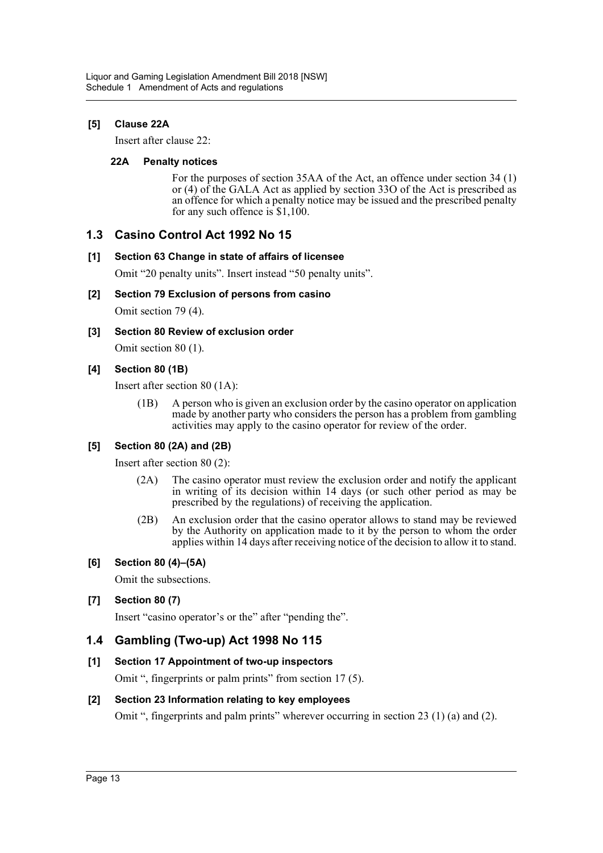### **[5] Clause 22A**

Insert after clause 22:

### **22A Penalty notices**

For the purposes of section 35AA of the Act, an offence under section 34 (1) or (4) of the GALA Act as applied by section 33O of the Act is prescribed as an offence for which a penalty notice may be issued and the prescribed penalty for any such offence is  $$1,100$ .

### **1.3 Casino Control Act 1992 No 15**

### **[1] Section 63 Change in state of affairs of licensee**

Omit "20 penalty units". Insert instead "50 penalty units".

### **[2] Section 79 Exclusion of persons from casino**

Omit section 79 (4).

### **[3] Section 80 Review of exclusion order**

Omit section 80 (1).

### **[4] Section 80 (1B)**

Insert after section 80 (1A):

(1B) A person who is given an exclusion order by the casino operator on application made by another party who considers the person has a problem from gambling activities may apply to the casino operator for review of the order.

### **[5] Section 80 (2A) and (2B)**

Insert after section 80 (2):

- (2A) The casino operator must review the exclusion order and notify the applicant in writing of its decision within 14 days (or such other period as may be prescribed by the regulations) of receiving the application.
- (2B) An exclusion order that the casino operator allows to stand may be reviewed by the Authority on application made to it by the person to whom the order applies within 14 days after receiving notice of the decision to allow it to stand.

### **[6] Section 80 (4)–(5A)**

Omit the subsections.

### **[7] Section 80 (7)**

Insert "casino operator's or the" after "pending the".

### **1.4 Gambling (Two-up) Act 1998 No 115**

### **[1] Section 17 Appointment of two-up inspectors**

Omit ", fingerprints or palm prints" from section 17 (5).

### **[2] Section 23 Information relating to key employees**

Omit ", fingerprints and palm prints" wherever occurring in section 23 (1) (a) and (2).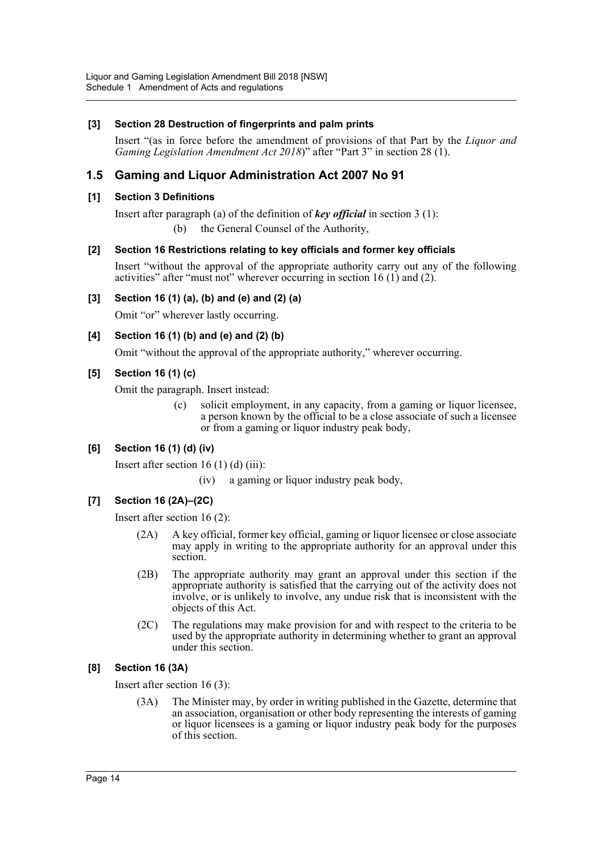### **[3] Section 28 Destruction of fingerprints and palm prints**

Insert "(as in force before the amendment of provisions of that Part by the *Liquor and Gaming Legislation Amendment Act 2018*)" after "Part 3" in section 28 (1).

### **1.5 Gaming and Liquor Administration Act 2007 No 91**

### **[1] Section 3 Definitions**

Insert after paragraph (a) of the definition of *key official* in section 3 (1):

(b) the General Counsel of the Authority,

### **[2] Section 16 Restrictions relating to key officials and former key officials**

Insert "without the approval of the appropriate authority carry out any of the following activities" after "must not" wherever occurring in section 16 (1) and (2).

### **[3] Section 16 (1) (a), (b) and (e) and (2) (a)**

Omit "or" wherever lastly occurring.

### **[4] Section 16 (1) (b) and (e) and (2) (b)**

Omit "without the approval of the appropriate authority," wherever occurring.

### **[5] Section 16 (1) (c)**

Omit the paragraph. Insert instead:

(c) solicit employment, in any capacity, from a gaming or liquor licensee, a person known by the official to be a close associate of such a licensee or from a gaming or liquor industry peak body,

### **[6] Section 16 (1) (d) (iv)**

Insert after section  $16(1)$  (d) (iii):

(iv) a gaming or liquor industry peak body,

### **[7] Section 16 (2A)–(2C)**

Insert after section 16 (2):

- (2A) A key official, former key official, gaming or liquor licensee or close associate may apply in writing to the appropriate authority for an approval under this section.
- (2B) The appropriate authority may grant an approval under this section if the appropriate authority is satisfied that the carrying out of the activity does not involve, or is unlikely to involve, any undue risk that is inconsistent with the objects of this Act.
- (2C) The regulations may make provision for and with respect to the criteria to be used by the appropriate authority in determining whether to grant an approval under this section.

### **[8] Section 16 (3A)**

Insert after section 16 (3):

(3A) The Minister may, by order in writing published in the Gazette, determine that an association, organisation or other body representing the interests of gaming or liquor licensees is a gaming or liquor industry peak body for the purposes of this section.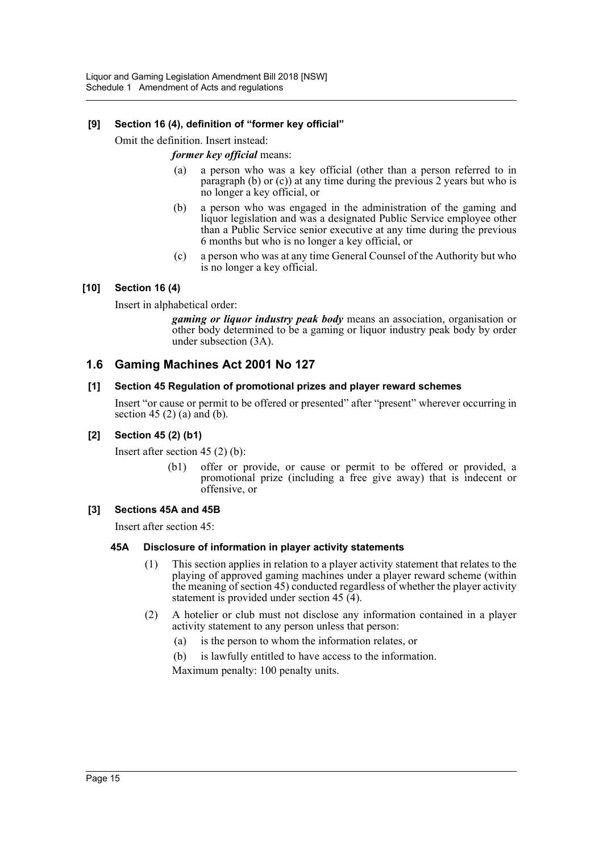### **[9] Section 16 (4), definition of "former key official"**

Omit the definition. Insert instead:

#### *former key official* means:

- (a) a person who was a key official (other than a person referred to in paragraph (b) or (c)) at any time during the previous 2 years but who is no longer a key official, or
- (b) a person who was engaged in the administration of the gaming and liquor legislation and was a designated Public Service employee other than a Public Service senior executive at any time during the previous 6 months but who is no longer a key official, or
- (c) a person who was at any time General Counsel of the Authority but who is no longer a key official.

### **[10] Section 16 (4)**

Insert in alphabetical order:

*gaming or liquor industry peak body* means an association, organisation or other body determined to be a gaming or liquor industry peak body by order under subsection (3A).

### **1.6 Gaming Machines Act 2001 No 127**

### **[1] Section 45 Regulation of promotional prizes and player reward schemes**

Insert "or cause or permit to be offered or presented" after "present" wherever occurring in section 45 $(2)$  $(a)$  and  $(b)$ .

### **[2] Section 45 (2) (b1)**

Insert after section 45 (2) (b):

(b1) offer or provide, or cause or permit to be offered or provided, a promotional prize (including a free give away) that is indecent or offensive, or

### **[3] Sections 45A and 45B**

Insert after section 45:

### **45A Disclosure of information in player activity statements**

- (1) This section applies in relation to a player activity statement that relates to the playing of approved gaming machines under a player reward scheme (within the meaning of section 45) conducted regardless of whether the player activity statement is provided under section 45 (4).
- (2) A hotelier or club must not disclose any information contained in a player activity statement to any person unless that person:
	- (a) is the person to whom the information relates, or
	- (b) is lawfully entitled to have access to the information.

Maximum penalty: 100 penalty units.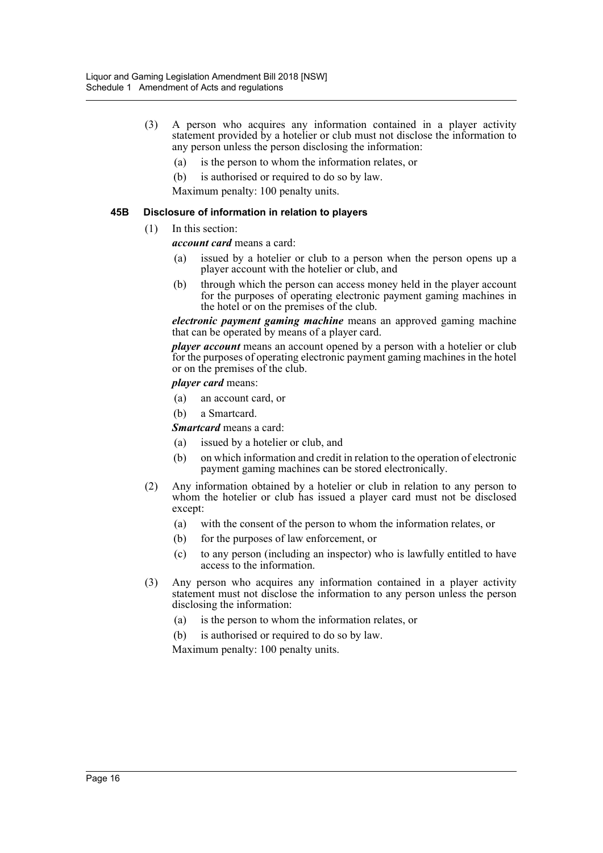- (3) A person who acquires any information contained in a player activity statement provided by a hotelier or club must not disclose the information to any person unless the person disclosing the information:
	- (a) is the person to whom the information relates, or
	- (b) is authorised or required to do so by law.
	- Maximum penalty: 100 penalty units.

#### **45B Disclosure of information in relation to players**

(1) In this section:

*account card* means a card:

- (a) issued by a hotelier or club to a person when the person opens up a player account with the hotelier or club, and
- (b) through which the person can access money held in the player account for the purposes of operating electronic payment gaming machines in the hotel or on the premises of the club.

*electronic payment gaming machine* means an approved gaming machine that can be operated by means of a player card.

*player account* means an account opened by a person with a hotelier or club for the purposes of operating electronic payment gaming machines in the hotel or on the premises of the club.

#### *player card* means:

- (a) an account card, or
- (b) a Smartcard.

*Smartcard* means a card:

- (a) issued by a hotelier or club, and
- (b) on which information and credit in relation to the operation of electronic payment gaming machines can be stored electronically.
- (2) Any information obtained by a hotelier or club in relation to any person to whom the hotelier or club has issued a player card must not be disclosed except:
	- (a) with the consent of the person to whom the information relates, or
	- (b) for the purposes of law enforcement, or
	- (c) to any person (including an inspector) who is lawfully entitled to have access to the information.
- (3) Any person who acquires any information contained in a player activity statement must not disclose the information to any person unless the person disclosing the information:
	- (a) is the person to whom the information relates, or
	- (b) is authorised or required to do so by law.

Maximum penalty: 100 penalty units.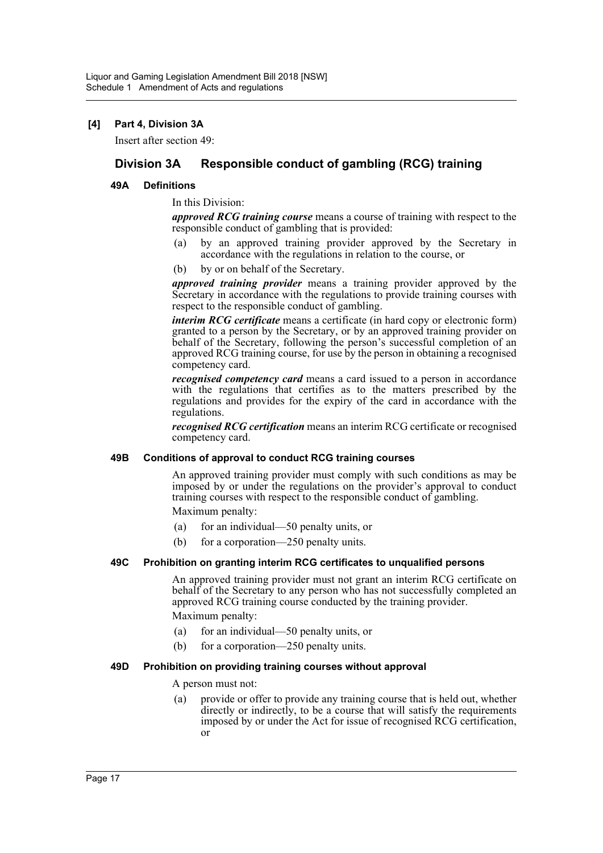### **[4] Part 4, Division 3A**

Insert after section 49:

### **Division 3A Responsible conduct of gambling (RCG) training**

### **49A Definitions**

In this Division:

*approved RCG training course* means a course of training with respect to the responsible conduct of gambling that is provided:

- (a) by an approved training provider approved by the Secretary in accordance with the regulations in relation to the course, or
- (b) by or on behalf of the Secretary.

*approved training provider* means a training provider approved by the Secretary in accordance with the regulations to provide training courses with respect to the responsible conduct of gambling.

*interim RCG certificate* means a certificate (in hard copy or electronic form) granted to a person by the Secretary, or by an approved training provider on behalf of the Secretary, following the person's successful completion of an approved RCG training course, for use by the person in obtaining a recognised competency card.

*recognised competency card* means a card issued to a person in accordance with the regulations that certifies as to the matters prescribed by the regulations and provides for the expiry of the card in accordance with the regulations.

*recognised RCG certification* means an interim RCG certificate or recognised competency card.

### **49B Conditions of approval to conduct RCG training courses**

An approved training provider must comply with such conditions as may be imposed by or under the regulations on the provider's approval to conduct training courses with respect to the responsible conduct of gambling.

Maximum penalty:

- (a) for an individual—50 penalty units, or
- (b) for a corporation—250 penalty units.

### **49C Prohibition on granting interim RCG certificates to unqualified persons**

An approved training provider must not grant an interim RCG certificate on behalf of the Secretary to any person who has not successfully completed an approved RCG training course conducted by the training provider.

Maximum penalty:

- (a) for an individual—50 penalty units, or
- (b) for a corporation—250 penalty units.

#### **49D Prohibition on providing training courses without approval**

A person must not:

(a) provide or offer to provide any training course that is held out, whether directly or indirectly, to be a course that will satisfy the requirements imposed by or under the Act for issue of recognised RCG certification, or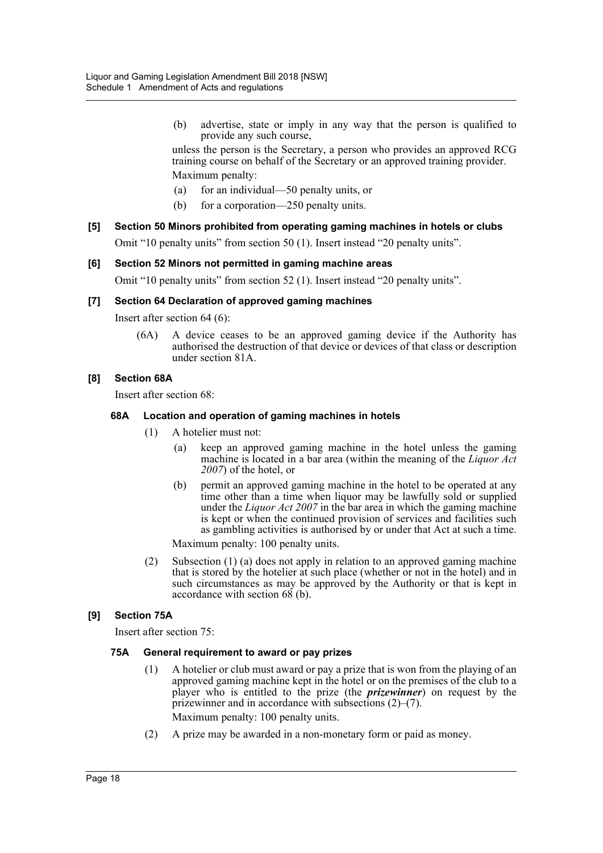(b) advertise, state or imply in any way that the person is qualified to provide any such course,

unless the person is the Secretary, a person who provides an approved RCG training course on behalf of the Secretary or an approved training provider. Maximum penalty:

- (a) for an individual—50 penalty units, or
- (b) for a corporation—250 penalty units.

#### **[5] Section 50 Minors prohibited from operating gaming machines in hotels or clubs**

Omit "10 penalty units" from section 50 (1). Insert instead "20 penalty units".

#### **[6] Section 52 Minors not permitted in gaming machine areas**

Omit "10 penalty units" from section 52 (1). Insert instead "20 penalty units".

#### **[7] Section 64 Declaration of approved gaming machines**

Insert after section 64 (6):

(6A) A device ceases to be an approved gaming device if the Authority has authorised the destruction of that device or devices of that class or description under section 81A.

#### **[8] Section 68A**

Insert after section 68:

#### **68A Location and operation of gaming machines in hotels**

- (1) A hotelier must not:
	- (a) keep an approved gaming machine in the hotel unless the gaming machine is located in a bar area (within the meaning of the *Liquor Act 2007*) of the hotel, or
	- (b) permit an approved gaming machine in the hotel to be operated at any time other than a time when liquor may be lawfully sold or supplied under the *Liquor Act 2007* in the bar area in which the gaming machine is kept or when the continued provision of services and facilities such as gambling activities is authorised by or under that Act at such a time.

Maximum penalty: 100 penalty units.

(2) Subsection (1) (a) does not apply in relation to an approved gaming machine that is stored by the hotelier at such place (whether or not in the hotel) and in such circumstances as may be approved by the Authority or that is kept in accordance with section 68 (b).

### **[9] Section 75A**

Insert after section 75:

#### **75A General requirement to award or pay prizes**

(1) A hotelier or club must award or pay a prize that is won from the playing of an approved gaming machine kept in the hotel or on the premises of the club to a player who is entitled to the prize (the *prizewinner*) on request by the prizewinner and in accordance with subsections (2)–(7).

Maximum penalty: 100 penalty units.

(2) A prize may be awarded in a non-monetary form or paid as money.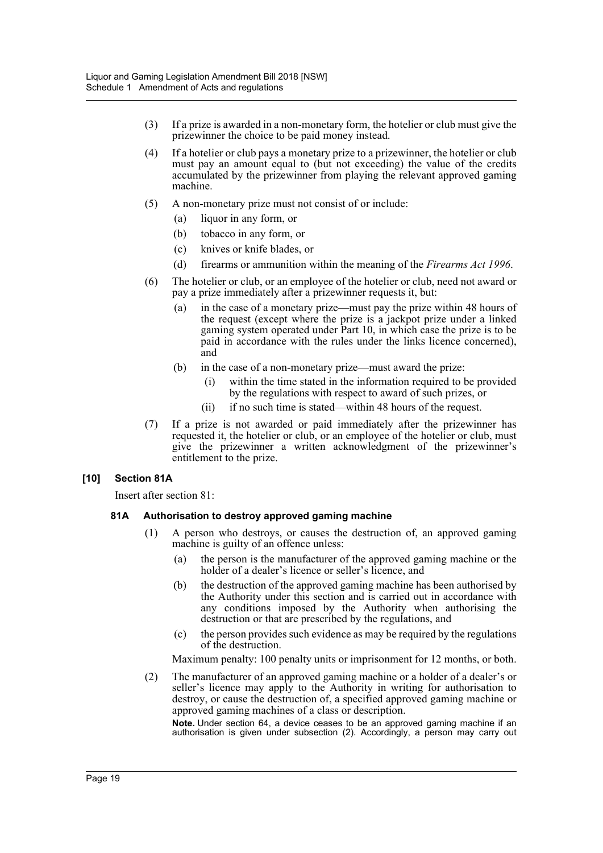- (3) If a prize is awarded in a non-monetary form, the hotelier or club must give the prizewinner the choice to be paid money instead.
- (4) If a hotelier or club pays a monetary prize to a prizewinner, the hotelier or club must pay an amount equal to (but not exceeding) the value of the credits accumulated by the prizewinner from playing the relevant approved gaming machine.
- (5) A non-monetary prize must not consist of or include:
	- (a) liquor in any form, or
	- (b) tobacco in any form, or
	- (c) knives or knife blades, or
	- (d) firearms or ammunition within the meaning of the *Firearms Act 1996*.
- (6) The hotelier or club, or an employee of the hotelier or club, need not award or pay a prize immediately after a prizewinner requests it, but:
	- (a) in the case of a monetary prize—must pay the prize within 48 hours of the request (except where the prize is a jackpot prize under a linked gaming system operated under Part 10, in which case the prize is to be paid in accordance with the rules under the links licence concerned), and
	- (b) in the case of a non-monetary prize—must award the prize:
		- (i) within the time stated in the information required to be provided by the regulations with respect to award of such prizes, or
		- (ii) if no such time is stated—within 48 hours of the request.
- (7) If a prize is not awarded or paid immediately after the prizewinner has requested it, the hotelier or club, or an employee of the hotelier or club, must give the prizewinner a written acknowledgment of the prizewinner's entitlement to the prize.

### **[10] Section 81A**

Insert after section 81:

#### **81A Authorisation to destroy approved gaming machine**

- (1) A person who destroys, or causes the destruction of, an approved gaming machine is guilty of an offence unless:
	- (a) the person is the manufacturer of the approved gaming machine or the holder of a dealer's licence or seller's licence, and
	- (b) the destruction of the approved gaming machine has been authorised by the Authority under this section and is carried out in accordance with any conditions imposed by the Authority when authorising the destruction or that are prescribed by the regulations, and
	- (c) the person provides such evidence as may be required by the regulations of the destruction.

Maximum penalty: 100 penalty units or imprisonment for 12 months, or both.

(2) The manufacturer of an approved gaming machine or a holder of a dealer's or seller's licence may apply to the Authority in writing for authorisation to destroy, or cause the destruction of, a specified approved gaming machine or approved gaming machines of a class or description.

**Note.** Under section 64, a device ceases to be an approved gaming machine if an authorisation is given under subsection (2). Accordingly, a person may carry out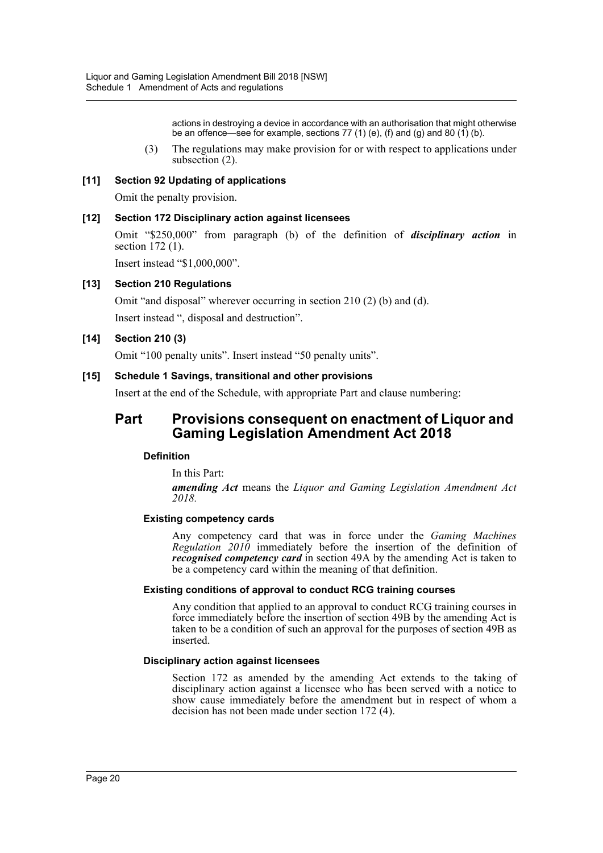actions in destroying a device in accordance with an authorisation that might otherwise be an offence—see for example, sections 77 (1) (e), (f) and (g) and 80 (1) (b).

(3) The regulations may make provision for or with respect to applications under subsection (2).

### **[11] Section 92 Updating of applications**

Omit the penalty provision.

### **[12] Section 172 Disciplinary action against licensees**

Omit "\$250,000" from paragraph (b) of the definition of *disciplinary action* in section 172 (1).

Insert instead "\$1,000,000".

### **[13] Section 210 Regulations**

Omit "and disposal" wherever occurring in section 210 (2) (b) and (d). Insert instead ", disposal and destruction".

### **[14] Section 210 (3)**

Omit "100 penalty units". Insert instead "50 penalty units".

### **[15] Schedule 1 Savings, transitional and other provisions**

Insert at the end of the Schedule, with appropriate Part and clause numbering:

# **Part Provisions consequent on enactment of Liquor and Gaming Legislation Amendment Act 2018**

### **Definition**

In this Part:

*amending Act* means the *Liquor and Gaming Legislation Amendment Act 2018.*

### **Existing competency cards**

Any competency card that was in force under the *Gaming Machines Regulation 2010* immediately before the insertion of the definition of *recognised competency card* in section 49A by the amending Act is taken to be a competency card within the meaning of that definition.

### **Existing conditions of approval to conduct RCG training courses**

Any condition that applied to an approval to conduct RCG training courses in force immediately before the insertion of section 49B by the amending Act is taken to be a condition of such an approval for the purposes of section 49B as inserted.

### **Disciplinary action against licensees**

Section 172 as amended by the amending Act extends to the taking of disciplinary action against a licensee who has been served with a notice to show cause immediately before the amendment but in respect of whom a decision has not been made under section 172 (4).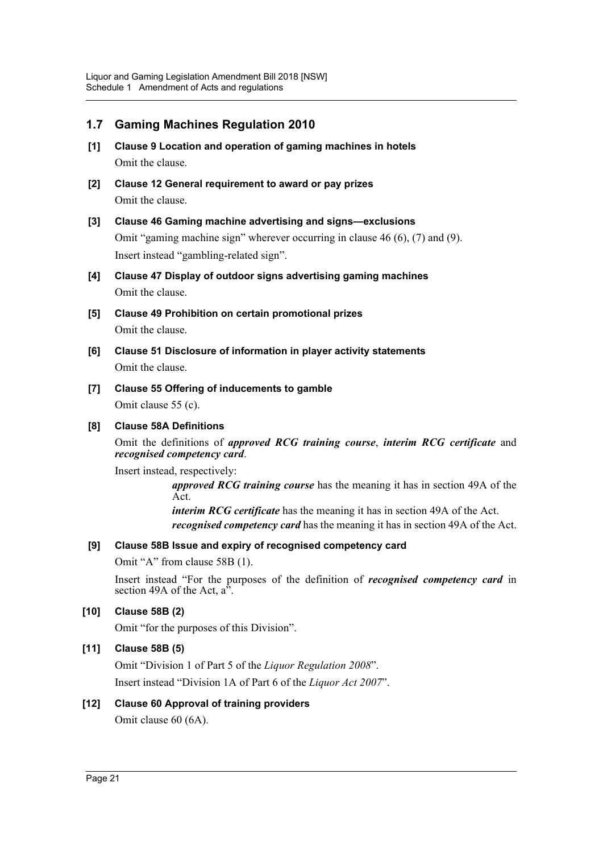### **1.7 Gaming Machines Regulation 2010**

- **[1] Clause 9 Location and operation of gaming machines in hotels** Omit the clause.
- **[2] Clause 12 General requirement to award or pay prizes** Omit the clause.
- **[3] Clause 46 Gaming machine advertising and signs—exclusions** Omit "gaming machine sign" wherever occurring in clause 46 (6), (7) and (9). Insert instead "gambling-related sign".
- **[4] Clause 47 Display of outdoor signs advertising gaming machines** Omit the clause.
- **[5] Clause 49 Prohibition on certain promotional prizes** Omit the clause.
- **[6] Clause 51 Disclosure of information in player activity statements** Omit the clause.
- **[7] Clause 55 Offering of inducements to gamble** Omit clause 55 (c).

### **[8] Clause 58A Definitions**

Omit the definitions of *approved RCG training course*, *interim RCG certificate* and *recognised competency card*.

Insert instead, respectively:

*approved RCG training course* has the meaning it has in section 49A of the Act.

*interim RCG certificate* has the meaning it has in section 49A of the Act. *recognised competency card* has the meaning it has in section 49A of the Act.

### **[9] Clause 58B Issue and expiry of recognised competency card**

Omit "A" from clause 58B (1).

Insert instead "For the purposes of the definition of *recognised competency card* in section 49A of the Act,  $a^5$ .

### **[10] Clause 58B (2)**

Omit "for the purposes of this Division".

### **[11] Clause 58B (5)**

Omit "Division 1 of Part 5 of the *Liquor Regulation 2008*". Insert instead "Division 1A of Part 6 of the *Liquor Act 2007*".

# **[12] Clause 60 Approval of training providers**

Omit clause 60 (6A).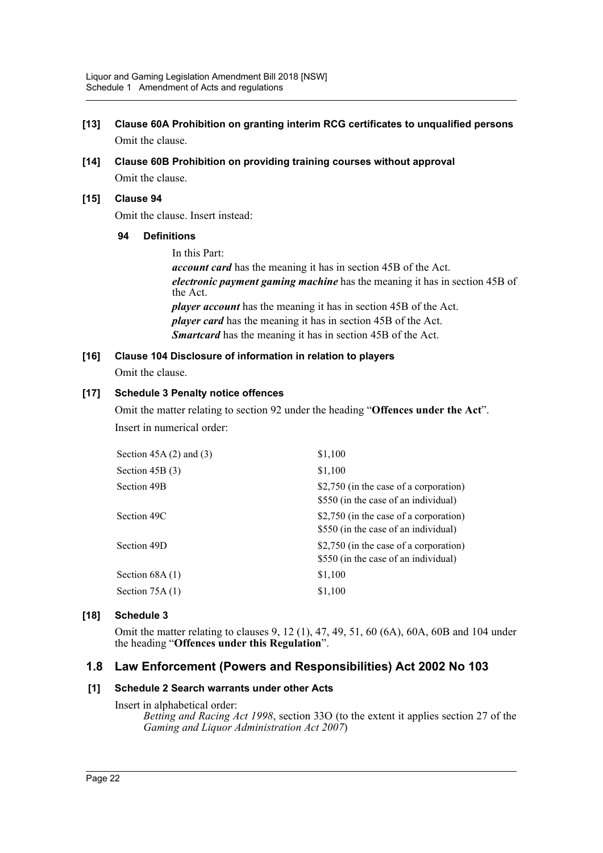### **[13] Clause 60A Prohibition on granting interim RCG certificates to unqualified persons** Omit the clause.

### **[14] Clause 60B Prohibition on providing training courses without approval** Omit the clause.

### **[15] Clause 94**

Omit the clause. Insert instead:

### **94 Definitions**

In this Part: *account card* has the meaning it has in section 45B of the Act. *electronic payment gaming machine* has the meaning it has in section 45B of the Act. *player account* has the meaning it has in section 45B of the Act. *player card* has the meaning it has in section 45B of the Act. *Smartcard* has the meaning it has in section 45B of the Act.

### **[16] Clause 104 Disclosure of information in relation to players**

Omit the clause.

### **[17] Schedule 3 Penalty notice offences**

Omit the matter relating to section 92 under the heading "**Offences under the Act**". Insert in numerical order:

| \$1,100                                                                        |  |
|--------------------------------------------------------------------------------|--|
| \$1,100                                                                        |  |
| \$2,750 (in the case of a corporation)<br>\$550 (in the case of an individual) |  |
| \$2,750 (in the case of a corporation)<br>\$550 (in the case of an individual) |  |
| \$2,750 (in the case of a corporation)<br>\$550 (in the case of an individual) |  |
| \$1,100                                                                        |  |
| \$1,100                                                                        |  |
|                                                                                |  |

### **[18] Schedule 3**

Omit the matter relating to clauses 9, 12 (1), 47, 49, 51, 60 (6A), 60A, 60B and 104 under the heading "**Offences under this Regulation**".

### **1.8 Law Enforcement (Powers and Responsibilities) Act 2002 No 103**

### **[1] Schedule 2 Search warrants under other Acts**

Insert in alphabetical order:

*Betting and Racing Act 1998*, section 33O (to the extent it applies section 27 of the *Gaming and Liquor Administration Act 2007*)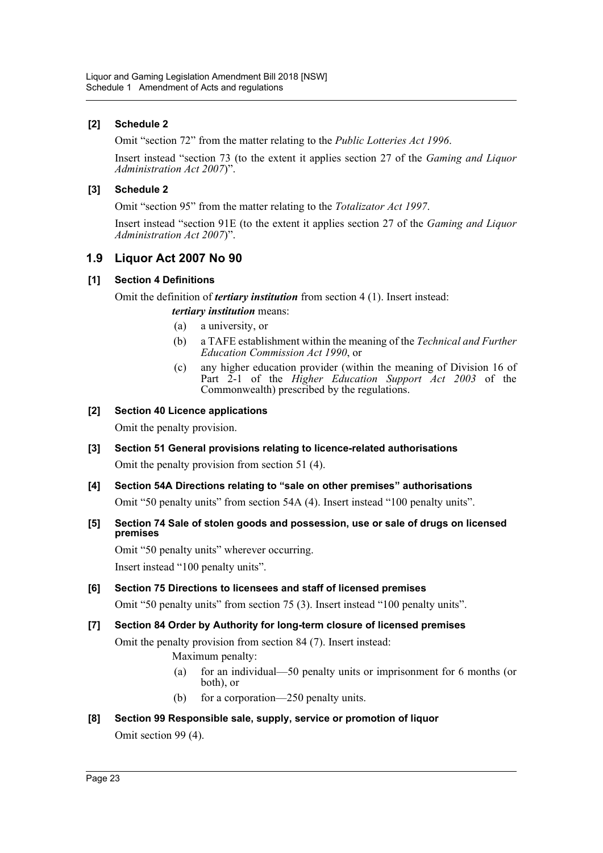### **[2] Schedule 2**

Omit "section 72" from the matter relating to the *Public Lotteries Act 1996*.

Insert instead "section 73 (to the extent it applies section 27 of the *Gaming and Liquor Administration Act 2007*)".

### **[3] Schedule 2**

Omit "section 95" from the matter relating to the *Totalizator Act 1997*.

Insert instead "section 91E (to the extent it applies section 27 of the *Gaming and Liquor Administration Act 2007*)".

### **1.9 Liquor Act 2007 No 90**

### **[1] Section 4 Definitions**

Omit the definition of *tertiary institution* from section 4 (1). Insert instead: *tertiary institution* means:

- (a) a university, or
- (b) a TAFE establishment within the meaning of the *Technical and Further Education Commission Act 1990*, or
- (c) any higher education provider (within the meaning of Division 16 of Part 2-1 of the *Higher Education Support Act 2003* of the Commonwealth) prescribed by the regulations.

### **[2] Section 40 Licence applications**

Omit the penalty provision.

- **[3] Section 51 General provisions relating to licence-related authorisations** Omit the penalty provision from section 51 (4).
- **[4] Section 54A Directions relating to "sale on other premises" authorisations** Omit "50 penalty units" from section 54A (4). Insert instead "100 penalty units".
- **[5] Section 74 Sale of stolen goods and possession, use or sale of drugs on licensed premises**

Omit "50 penalty units" wherever occurring. Insert instead "100 penalty units".

**[6] Section 75 Directions to licensees and staff of licensed premises**

Omit "50 penalty units" from section 75 (3). Insert instead "100 penalty units".

### **[7] Section 84 Order by Authority for long-term closure of licensed premises**

Omit the penalty provision from section 84 (7). Insert instead:

- Maximum penalty:
- (a) for an individual—50 penalty units or imprisonment for 6 months (or both), or
- (b) for a corporation—250 penalty units.

### **[8] Section 99 Responsible sale, supply, service or promotion of liquor** Omit section 99 (4).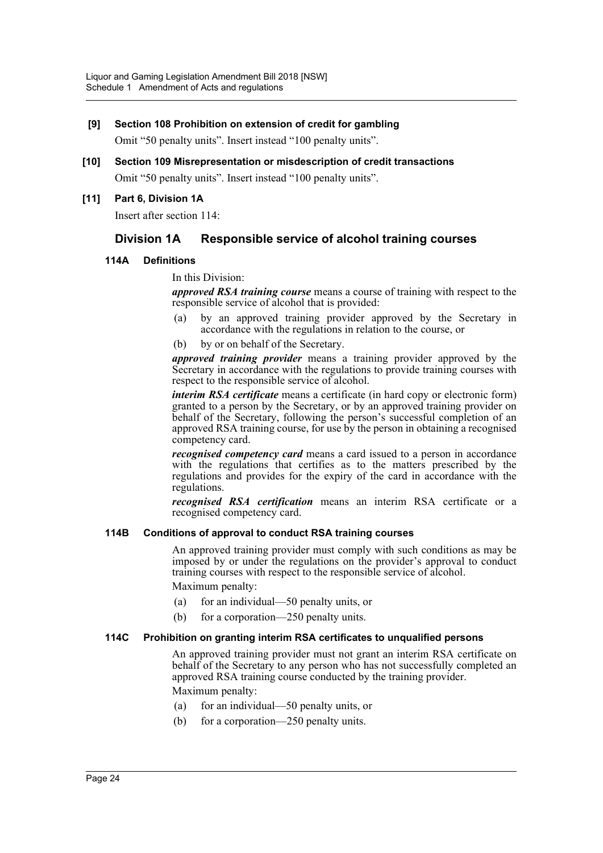### **[9] Section 108 Prohibition on extension of credit for gambling**

Omit "50 penalty units". Insert instead "100 penalty units".

**[10] Section 109 Misrepresentation or misdescription of credit transactions** Omit "50 penalty units". Insert instead "100 penalty units".

### **[11] Part 6, Division 1A**

Insert after section 114:

### **Division 1A Responsible service of alcohol training courses**

### **114A Definitions**

In this Division:

*approved RSA training course* means a course of training with respect to the responsible service of alcohol that is provided:

- (a) by an approved training provider approved by the Secretary in accordance with the regulations in relation to the course, or
- (b) by or on behalf of the Secretary.

*approved training provider* means a training provider approved by the Secretary in accordance with the regulations to provide training courses with respect to the responsible service of alcohol.

*interim RSA certificate* means a certificate (in hard copy or electronic form) granted to a person by the Secretary, or by an approved training provider on behalf of the Secretary, following the person's successful completion of an approved RSA training course, for use by the person in obtaining a recognised competency card.

*recognised competency card* means a card issued to a person in accordance with the regulations that certifies as to the matters prescribed by the regulations and provides for the expiry of the card in accordance with the regulations.

*recognised RSA certification* means an interim RSA certificate or a recognised competency card.

### **114B Conditions of approval to conduct RSA training courses**

An approved training provider must comply with such conditions as may be imposed by or under the regulations on the provider's approval to conduct training courses with respect to the responsible service of alcohol.

Maximum penalty:

- (a) for an individual—50 penalty units, or
- (b) for a corporation—250 penalty units.

#### **114C Prohibition on granting interim RSA certificates to unqualified persons**

An approved training provider must not grant an interim RSA certificate on behalf of the Secretary to any person who has not successfully completed an approved RSA training course conducted by the training provider. Maximum penalty:

- (a) for an individual—50 penalty units, or
- (b) for a corporation—250 penalty units.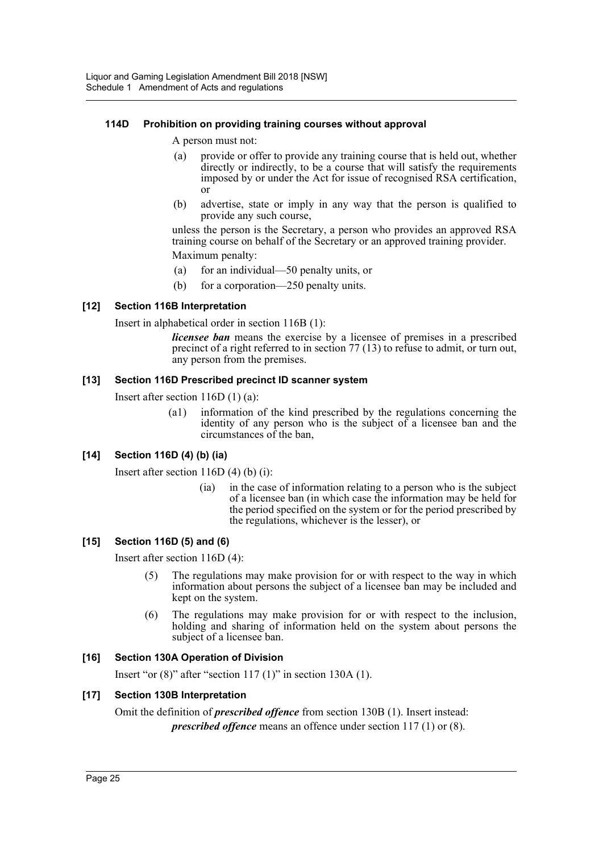### **114D Prohibition on providing training courses without approval**

A person must not:

- (a) provide or offer to provide any training course that is held out, whether directly or indirectly, to be a course that will satisfy the requirements imposed by or under the Act for issue of recognised RSA certification, or
- (b) advertise, state or imply in any way that the person is qualified to provide any such course,

unless the person is the Secretary, a person who provides an approved RSA training course on behalf of the Secretary or an approved training provider.

Maximum penalty:

- (a) for an individual—50 penalty units, or
- (b) for a corporation—250 penalty units.

### **[12] Section 116B Interpretation**

Insert in alphabetical order in section 116B (1):

*licensee ban* means the exercise by a licensee of premises in a prescribed precinct of a right referred to in section 77 (13) to refuse to admit, or turn out, any person from the premises.

#### **[13] Section 116D Prescribed precinct ID scanner system**

Insert after section 116D (1) (a):

(a1) information of the kind prescribed by the regulations concerning the identity of any person who is the subject of a licensee ban and the circumstances of the ban,

### **[14] Section 116D (4) (b) (ia)**

Insert after section  $116D(4)$  (b) (i):

(ia) in the case of information relating to a person who is the subject of a licensee ban (in which case the information may be held for the period specified on the system or for the period prescribed by the regulations, whichever is the lesser), or

### **[15] Section 116D (5) and (6)**

Insert after section 116D (4):

- (5) The regulations may make provision for or with respect to the way in which information about persons the subject of a licensee ban may be included and kept on the system.
- (6) The regulations may make provision for or with respect to the inclusion, holding and sharing of information held on the system about persons the subject of a licensee ban.

### **[16] Section 130A Operation of Division**

Insert "or (8)" after "section 117 (1)" in section 130A (1).

### **[17] Section 130B Interpretation**

Omit the definition of *prescribed offence* from section 130B (1). Insert instead: *prescribed offence* means an offence under section 117 (1) or (8).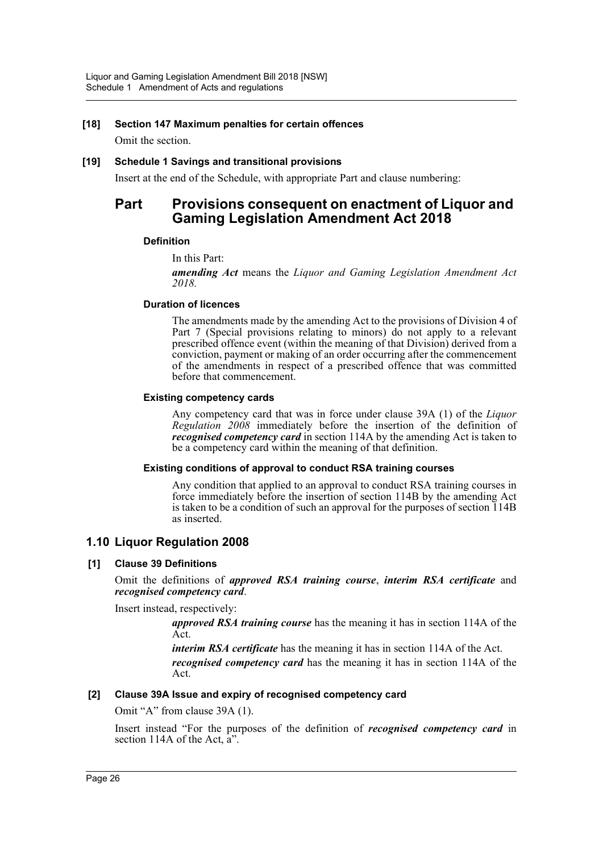### **[18] Section 147 Maximum penalties for certain offences**

Omit the section.

#### **[19] Schedule 1 Savings and transitional provisions**

Insert at the end of the Schedule, with appropriate Part and clause numbering:

# **Part Provisions consequent on enactment of Liquor and Gaming Legislation Amendment Act 2018**

### **Definition**

In this Part:

*amending Act* means the *Liquor and Gaming Legislation Amendment Act 2018.*

#### **Duration of licences**

The amendments made by the amending Act to the provisions of Division 4 of Part 7 (Special provisions relating to minors) do not apply to a relevant prescribed offence event (within the meaning of that Division) derived from a conviction, payment or making of an order occurring after the commencement of the amendments in respect of a prescribed offence that was committed before that commencement.

#### **Existing competency cards**

Any competency card that was in force under clause 39A (1) of the *Liquor Regulation 2008* immediately before the insertion of the definition of *recognised competency card* in section 114A by the amending Act is taken to be a competency card within the meaning of that definition.

### **Existing conditions of approval to conduct RSA training courses**

Any condition that applied to an approval to conduct RSA training courses in force immediately before the insertion of section 114B by the amending Act is taken to be a condition of such an approval for the purposes of section 114B as inserted.

### **1.10 Liquor Regulation 2008**

### **[1] Clause 39 Definitions**

Omit the definitions of *approved RSA training course*, *interim RSA certificate* and *recognised competency card*.

Insert instead, respectively:

*approved RSA training course* has the meaning it has in section 114A of the Act.

*interim RSA certificate* has the meaning it has in section 114A of the Act. *recognised competency card* has the meaning it has in section 114A of the Act.

### **[2] Clause 39A Issue and expiry of recognised competency card**

Omit "A" from clause 39A (1).

Insert instead "For the purposes of the definition of *recognised competency card* in section 114A of the Act, a".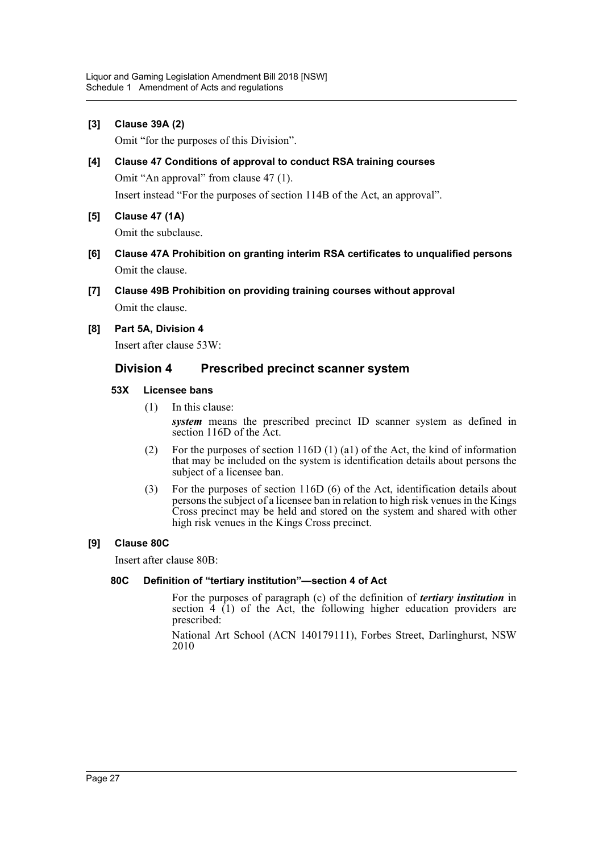**[3] Clause 39A (2)**

Omit "for the purposes of this Division".

- **[4] Clause 47 Conditions of approval to conduct RSA training courses** Omit "An approval" from clause 47 (1). Insert instead "For the purposes of section 114B of the Act, an approval".
- **[5] Clause 47 (1A)**

Omit the subclause.

- **[6] Clause 47A Prohibition on granting interim RSA certificates to unqualified persons** Omit the clause.
- **[7] Clause 49B Prohibition on providing training courses without approval** Omit the clause.

**[8] Part 5A, Division 4**

Insert after clause 53W:

### **Division 4 Prescribed precinct scanner system**

### **53X Licensee bans**

- (1) In this clause: *system* means the prescribed precinct ID scanner system as defined in section 116D of the Act.
- (2) For the purposes of section 116D (1) (a1) of the Act, the kind of information that may be included on the system is identification details about persons the subject of a licensee ban.
- (3) For the purposes of section 116D (6) of the Act, identification details about persons the subject of a licensee ban in relation to high risk venues in the Kings Cross precinct may be held and stored on the system and shared with other high risk venues in the Kings Cross precinct.

### **[9] Clause 80C**

Insert after clause 80B:

### **80C Definition of "tertiary institution"—section 4 of Act**

For the purposes of paragraph (c) of the definition of *tertiary institution* in section  $4$  (1) of the Act, the following higher education providers are prescribed:

National Art School (ACN 140179111), Forbes Street, Darlinghurst, NSW 2010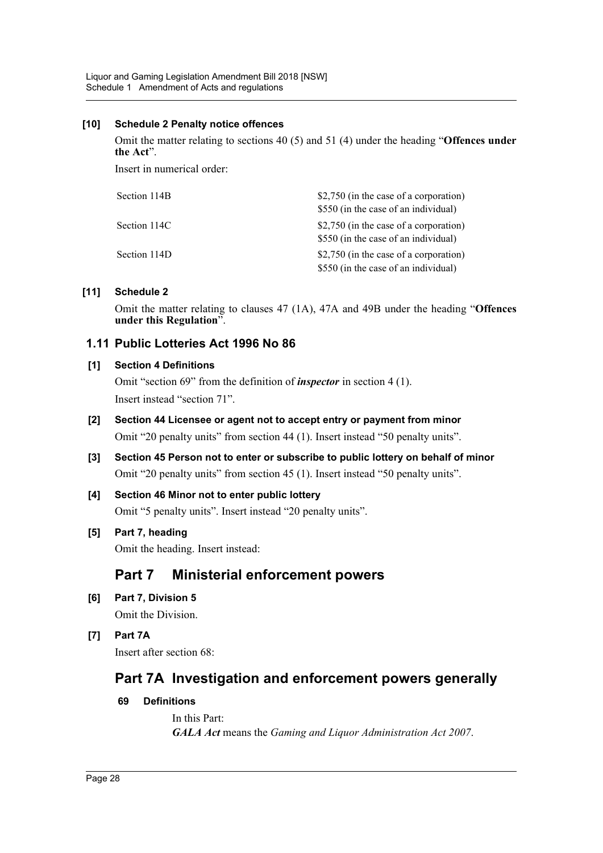### **[10] Schedule 2 Penalty notice offences**

Omit the matter relating to sections 40 (5) and 51 (4) under the heading "**Offences under the Act**".

Insert in numerical order:

| Section 114B | \$2,750 (in the case of a corporation)<br>\$550 (in the case of an individual) |
|--------------|--------------------------------------------------------------------------------|
| Section 114C | \$2,750 (in the case of a corporation)<br>\$550 (in the case of an individual) |
| Section 114D | \$2,750 (in the case of a corporation)<br>\$550 (in the case of an individual) |

### **[11] Schedule 2**

Omit the matter relating to clauses 47 (1A), 47A and 49B under the heading "**Offences under this Regulation**".

### **1.11 Public Lotteries Act 1996 No 86**

### **[1] Section 4 Definitions**

Omit "section 69" from the definition of *inspector* in section 4 (1). Insert instead "section 71".

- **[2] Section 44 Licensee or agent not to accept entry or payment from minor** Omit "20 penalty units" from section 44 (1). Insert instead "50 penalty units".
- **[3] Section 45 Person not to enter or subscribe to public lottery on behalf of minor** Omit "20 penalty units" from section 45 (1). Insert instead "50 penalty units".
- **[4] Section 46 Minor not to enter public lottery** Omit "5 penalty units". Insert instead "20 penalty units".
- **[5] Part 7, heading**

Omit the heading. Insert instead:

# **Part 7 Ministerial enforcement powers**

- **[6] Part 7, Division 5** Omit the Division.
- **[7] Part 7A** Insert after section 68:

# **Part 7A Investigation and enforcement powers generally**

### **69 Definitions**

In this Part: *GALA Act* means the *Gaming and Liquor Administration Act 2007*.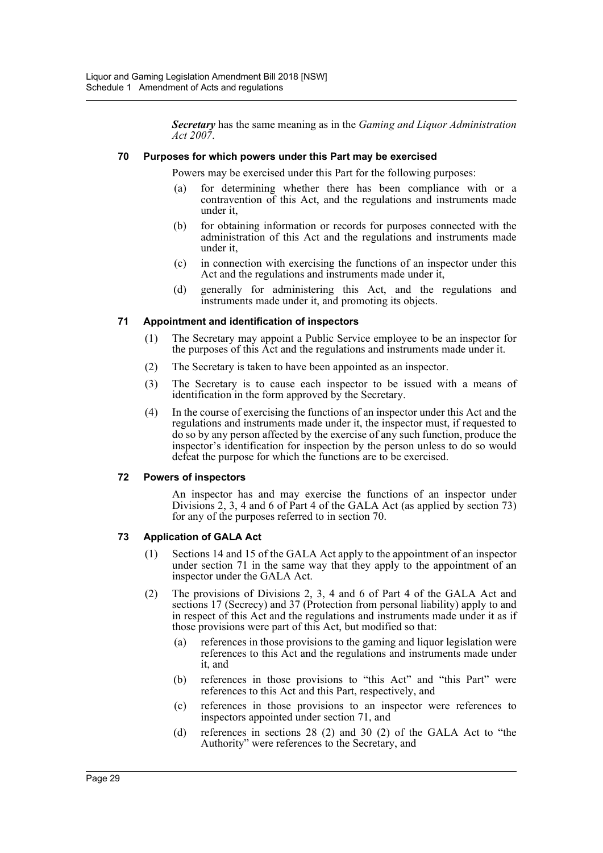*Secretary* has the same meaning as in the *Gaming and Liquor Administration Act 2007*.

#### **70 Purposes for which powers under this Part may be exercised**

Powers may be exercised under this Part for the following purposes:

- (a) for determining whether there has been compliance with or a contravention of this Act, and the regulations and instruments made under it,
- (b) for obtaining information or records for purposes connected with the administration of this Act and the regulations and instruments made under it,
- (c) in connection with exercising the functions of an inspector under this Act and the regulations and instruments made under it,
- (d) generally for administering this Act, and the regulations and instruments made under it, and promoting its objects.

#### **71 Appointment and identification of inspectors**

- (1) The Secretary may appoint a Public Service employee to be an inspector for the purposes of this Act and the regulations and instruments made under it.
- (2) The Secretary is taken to have been appointed as an inspector.
- (3) The Secretary is to cause each inspector to be issued with a means of identification in the form approved by the Secretary.
- (4) In the course of exercising the functions of an inspector under this Act and the regulations and instruments made under it, the inspector must, if requested to do so by any person affected by the exercise of any such function, produce the inspector's identification for inspection by the person unless to do so would defeat the purpose for which the functions are to be exercised.

### **72 Powers of inspectors**

An inspector has and may exercise the functions of an inspector under Divisions 2, 3, 4 and 6 of Part 4 of the GALA Act (as applied by section 73) for any of the purposes referred to in section 70.

### **73 Application of GALA Act**

- (1) Sections 14 and 15 of the GALA Act apply to the appointment of an inspector under section 71 in the same way that they apply to the appointment of an inspector under the GALA Act.
- (2) The provisions of Divisions 2, 3, 4 and 6 of Part 4 of the GALA Act and sections 17 (Secrecy) and 37 (Protection from personal liability) apply to and in respect of this Act and the regulations and instruments made under it as if those provisions were part of this Act, but modified so that:
	- (a) references in those provisions to the gaming and liquor legislation were references to this Act and the regulations and instruments made under it, and
	- (b) references in those provisions to "this Act" and "this Part" were references to this Act and this Part, respectively, and
	- (c) references in those provisions to an inspector were references to inspectors appointed under section 71, and
	- (d) references in sections 28 (2) and 30 (2) of the GALA Act to "the Authority" were references to the Secretary, and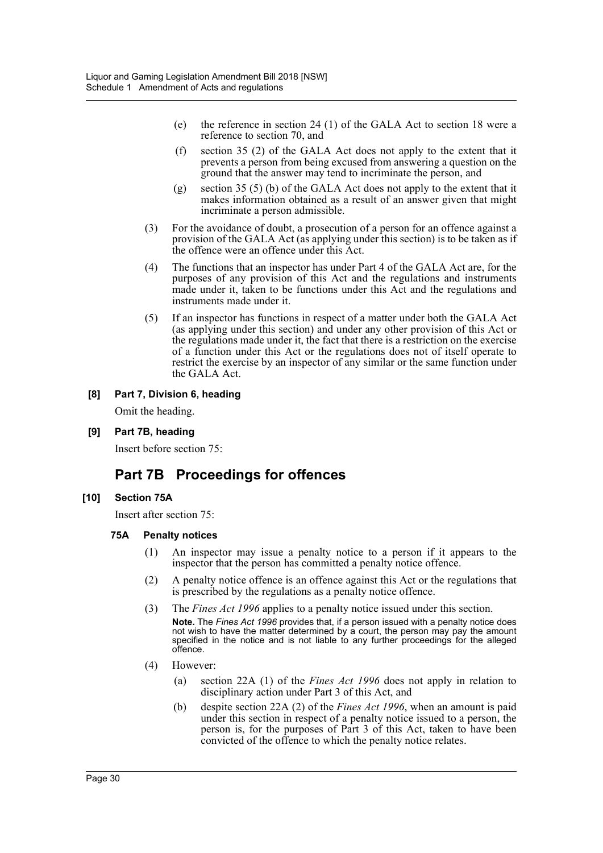- (e) the reference in section 24 (1) of the GALA Act to section 18 were a reference to section 70, and
- (f) section 35 (2) of the GALA Act does not apply to the extent that it prevents a person from being excused from answering a question on the ground that the answer may tend to incriminate the person, and
- (g) section 35 (5) (b) of the GALA Act does not apply to the extent that it makes information obtained as a result of an answer given that might incriminate a person admissible.
- (3) For the avoidance of doubt, a prosecution of a person for an offence against a provision of the GALA Act (as applying under this section) is to be taken as if the offence were an offence under this Act.
- (4) The functions that an inspector has under Part 4 of the GALA Act are, for the purposes of any provision of this Act and the regulations and instruments made under it, taken to be functions under this Act and the regulations and instruments made under it.
- (5) If an inspector has functions in respect of a matter under both the GALA Act (as applying under this section) and under any other provision of this Act or the regulations made under it, the fact that there is a restriction on the exercise of a function under this Act or the regulations does not of itself operate to restrict the exercise by an inspector of any similar or the same function under the GALA Act.

### **[8] Part 7, Division 6, heading**

Omit the heading.

**[9] Part 7B, heading**

Insert before section 75:

# **Part 7B Proceedings for offences**

### **[10] Section 75A**

Insert after section 75:

### **75A Penalty notices**

- (1) An inspector may issue a penalty notice to a person if it appears to the inspector that the person has committed a penalty notice offence.
- (2) A penalty notice offence is an offence against this Act or the regulations that is prescribed by the regulations as a penalty notice offence.
- (3) The *Fines Act 1996* applies to a penalty notice issued under this section. **Note.** The *Fines Act 1996* provides that, if a person issued with a penalty notice does not wish to have the matter determined by a court, the person may pay the amount specified in the notice and is not liable to any further proceedings for the alleged offence.
- (4) However:
	- (a) section 22A (1) of the *Fines Act 1996* does not apply in relation to disciplinary action under Part 3 of this Act, and
	- (b) despite section 22A (2) of the *Fines Act 1996*, when an amount is paid under this section in respect of a penalty notice issued to a person, the person is, for the purposes of Part 3 of this Act, taken to have been convicted of the offence to which the penalty notice relates.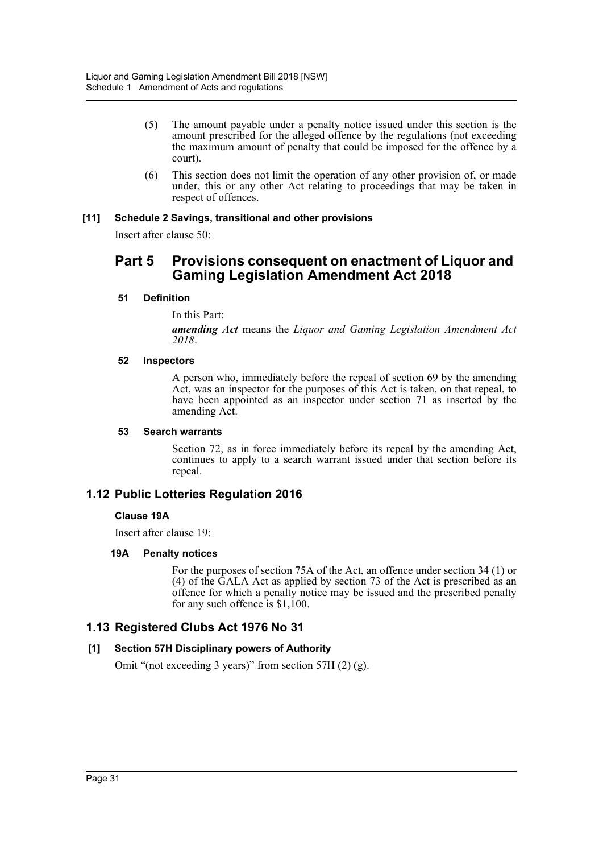- (5) The amount payable under a penalty notice issued under this section is the amount prescribed for the alleged offence by the regulations (not exceeding the maximum amount of penalty that could be imposed for the offence by a court).
- (6) This section does not limit the operation of any other provision of, or made under, this or any other Act relating to proceedings that may be taken in respect of offences.

### **[11] Schedule 2 Savings, transitional and other provisions**

Insert after clause 50:

# **Part 5 Provisions consequent on enactment of Liquor and Gaming Legislation Amendment Act 2018**

### **51 Definition**

In this Part:

*amending Act* means the *Liquor and Gaming Legislation Amendment Act 2018*.

#### **52 Inspectors**

A person who, immediately before the repeal of section 69 by the amending Act, was an inspector for the purposes of this Act is taken, on that repeal, to have been appointed as an inspector under section 71 as inserted by the amending Act.

#### **53 Search warrants**

Section 72, as in force immediately before its repeal by the amending Act, continues to apply to a search warrant issued under that section before its repeal.

### **1.12 Public Lotteries Regulation 2016**

### **Clause 19A**

Insert after clause 19:

### **19A Penalty notices**

For the purposes of section 75A of the Act, an offence under section 34 (1) or (4) of the GALA Act as applied by section 73 of the Act is prescribed as an offence for which a penalty notice may be issued and the prescribed penalty for any such offence is \$1,100.

### **1.13 Registered Clubs Act 1976 No 31**

### **[1] Section 57H Disciplinary powers of Authority**

Omit "(not exceeding 3 years)" from section 57H (2) (g).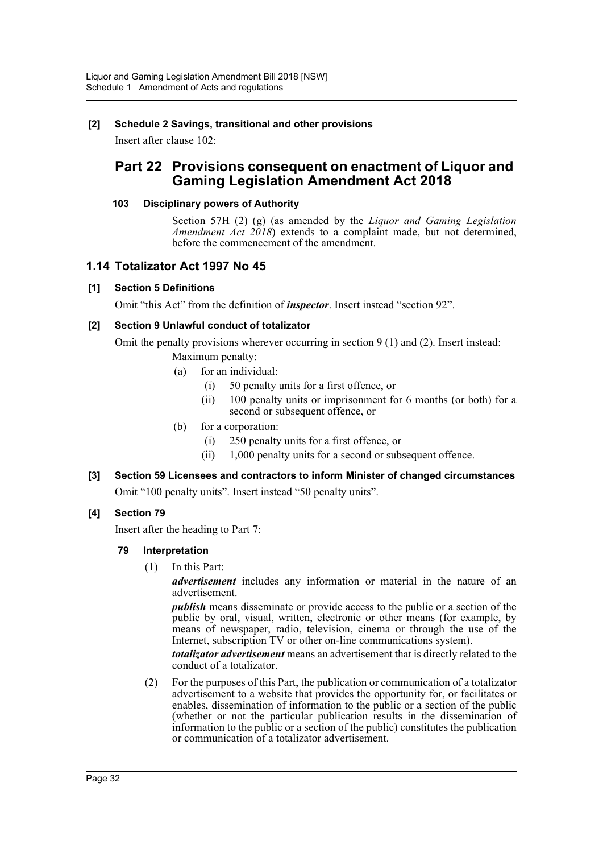### **[2] Schedule 2 Savings, transitional and other provisions**

Insert after clause 102:

# **Part 22 Provisions consequent on enactment of Liquor and Gaming Legislation Amendment Act 2018**

### **103 Disciplinary powers of Authority**

Section 57H (2) (g) (as amended by the *Liquor and Gaming Legislation Amendment Act 2018*) extends to a complaint made, but not determined, before the commencement of the amendment.

### **1.14 Totalizator Act 1997 No 45**

### **[1] Section 5 Definitions**

Omit "this Act" from the definition of *inspector*. Insert instead "section 92".

### **[2] Section 9 Unlawful conduct of totalizator**

Omit the penalty provisions wherever occurring in section 9 (1) and (2). Insert instead:

- Maximum penalty:
- (a) for an individual:
	- (i) 50 penalty units for a first offence, or
	- (ii) 100 penalty units or imprisonment for 6 months (or both) for a second or subsequent offence, or
- (b) for a corporation:
	- (i) 250 penalty units for a first offence, or
	- (ii) 1,000 penalty units for a second or subsequent offence.

# **[3] Section 59 Licensees and contractors to inform Minister of changed circumstances**

Omit "100 penalty units". Insert instead "50 penalty units".

### **[4] Section 79**

Insert after the heading to Part 7:

### **79 Interpretation**

(1) In this Part:

*advertisement* includes any information or material in the nature of an advertisement.

*publish* means disseminate or provide access to the public or a section of the public by oral, visual, written, electronic or other means (for example, by means of newspaper, radio, television, cinema or through the use of the Internet, subscription TV or other on-line communications system).

*totalizator advertisement* means an advertisement that is directly related to the conduct of a totalizator.

(2) For the purposes of this Part, the publication or communication of a totalizator advertisement to a website that provides the opportunity for, or facilitates or enables, dissemination of information to the public or a section of the public (whether or not the particular publication results in the dissemination of information to the public or a section of the public) constitutes the publication or communication of a totalizator advertisement.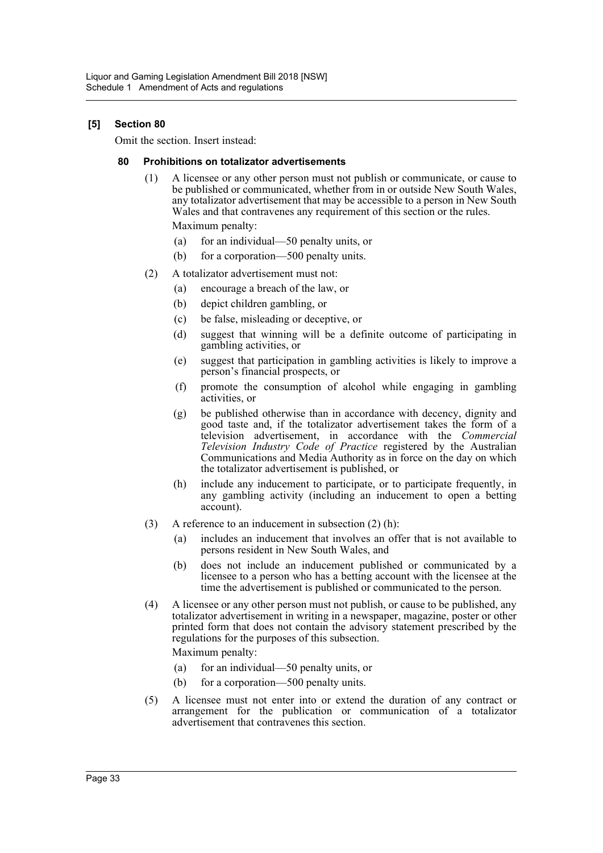### **[5] Section 80**

Omit the section. Insert instead:

#### **80 Prohibitions on totalizator advertisements**

- (1) A licensee or any other person must not publish or communicate, or cause to be published or communicated, whether from in or outside New South Wales, any totalizator advertisement that may be accessible to a person in New South Wales and that contravenes any requirement of this section or the rules. Maximum penalty:
	- (a) for an individual—50 penalty units, or
	- (b) for a corporation—500 penalty units.
- (2) A totalizator advertisement must not:
	- (a) encourage a breach of the law, or
	- (b) depict children gambling, or
	- (c) be false, misleading or deceptive, or
	- (d) suggest that winning will be a definite outcome of participating in gambling activities, or
	- (e) suggest that participation in gambling activities is likely to improve a person's financial prospects, or
	- (f) promote the consumption of alcohol while engaging in gambling activities, or
	- (g) be published otherwise than in accordance with decency, dignity and good taste and, if the totalizator advertisement takes the form of a television advertisement, in accordance with the *Commercial Television Industry Code of Practice* registered by the Australian Communications and Media Authority as in force on the day on which the totalizator advertisement is published, or
	- (h) include any inducement to participate, or to participate frequently, in any gambling activity (including an inducement to open a betting account).
- (3) A reference to an inducement in subsection (2) (h):
	- (a) includes an inducement that involves an offer that is not available to persons resident in New South Wales, and
	- (b) does not include an inducement published or communicated by a licensee to a person who has a betting account with the licensee at the time the advertisement is published or communicated to the person.
- (4) A licensee or any other person must not publish, or cause to be published, any totalizator advertisement in writing in a newspaper, magazine, poster or other printed form that does not contain the advisory statement prescribed by the regulations for the purposes of this subsection.

- (a) for an individual—50 penalty units, or
- (b) for a corporation—500 penalty units.
- (5) A licensee must not enter into or extend the duration of any contract or arrangement for the publication or communication of a totalizator advertisement that contravenes this section.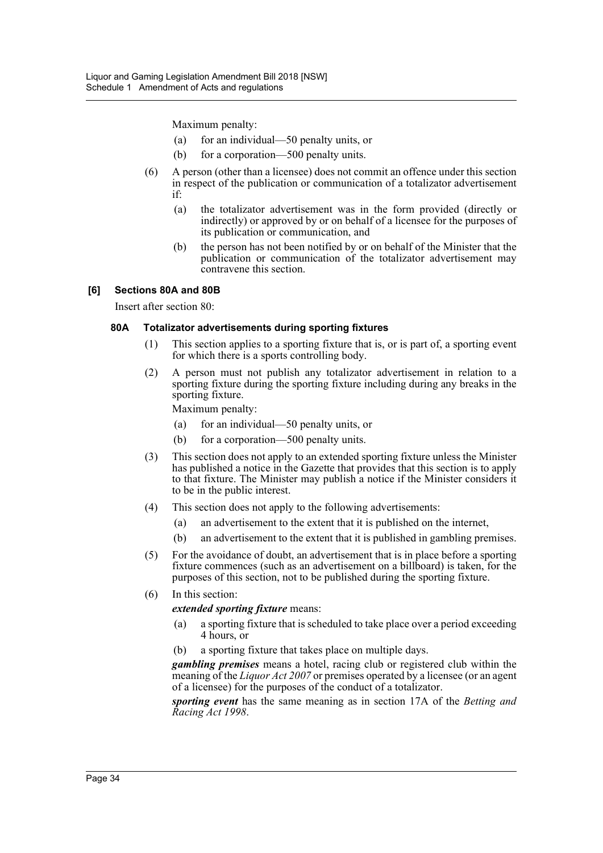Maximum penalty:

- (a) for an individual—50 penalty units, or
- (b) for a corporation—500 penalty units.
- (6) A person (other than a licensee) does not commit an offence under this section in respect of the publication or communication of a totalizator advertisement if:
	- (a) the totalizator advertisement was in the form provided (directly or indirectly) or approved by or on behalf of a licensee for the purposes of its publication or communication, and
	- (b) the person has not been notified by or on behalf of the Minister that the publication or communication of the totalizator advertisement may contravene this section.

### **[6] Sections 80A and 80B**

Insert after section 80:

### **80A Totalizator advertisements during sporting fixtures**

- (1) This section applies to a sporting fixture that is, or is part of, a sporting event for which there is a sports controlling body.
- (2) A person must not publish any totalizator advertisement in relation to a sporting fixture during the sporting fixture including during any breaks in the sporting fixture.

Maximum penalty:

- (a) for an individual—50 penalty units, or
- (b) for a corporation—500 penalty units.
- (3) This section does not apply to an extended sporting fixture unless the Minister has published a notice in the Gazette that provides that this section is to apply to that fixture. The Minister may publish a notice if the Minister considers it to be in the public interest.
- (4) This section does not apply to the following advertisements:
	- (a) an advertisement to the extent that it is published on the internet,
	- (b) an advertisement to the extent that it is published in gambling premises.
- (5) For the avoidance of doubt, an advertisement that is in place before a sporting fixture commences (such as an advertisement on a billboard) is taken, for the purposes of this section, not to be published during the sporting fixture.
- (6) In this section:

*extended sporting fixture* means:

- (a) a sporting fixture that is scheduled to take place over a period exceeding 4 hours, or
- (b) a sporting fixture that takes place on multiple days.

*gambling premises* means a hotel, racing club or registered club within the meaning of the *Liquor Act 2007* or premises operated by a licensee (or an agent of a licensee) for the purposes of the conduct of a totalizator.

*sporting event* has the same meaning as in section 17A of the *Betting and Racing Act 1998*.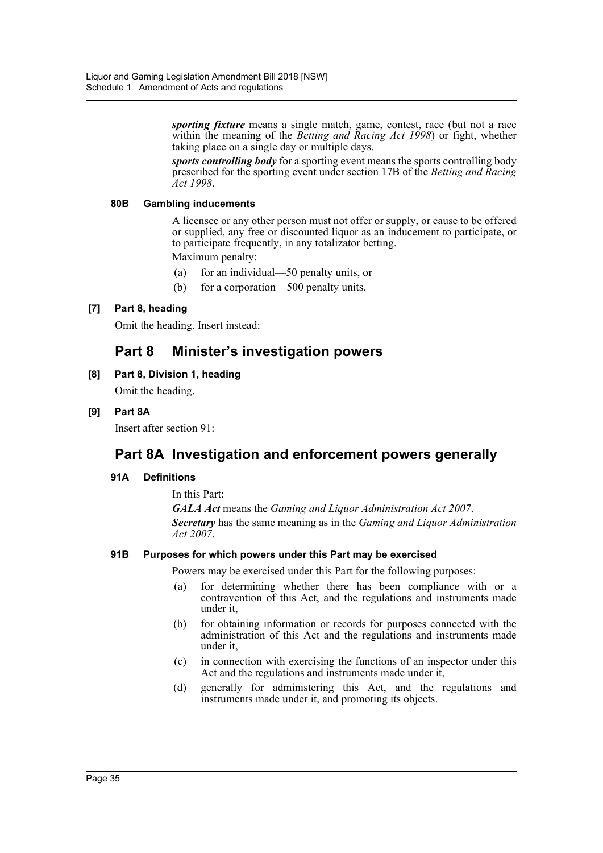*sporting fixture* means a single match, game, contest, race (but not a race within the meaning of the *Betting and Racing Act 1998*) or fight, whether taking place on a single day or multiple days.

*sports controlling body* for a sporting event means the sports controlling body prescribed for the sporting event under section 17B of the *Betting and Racing Act 1998*.

### **80B Gambling inducements**

A licensee or any other person must not offer or supply, or cause to be offered or supplied, any free or discounted liquor as an inducement to participate, or to participate frequently, in any totalizator betting.

Maximum penalty:

- (a) for an individual—50 penalty units, or
- (b) for a corporation—500 penalty units.

### **[7] Part 8, heading**

Omit the heading. Insert instead:

# **Part 8 Minister's investigation powers**

### **[8] Part 8, Division 1, heading**

Omit the heading.

### **[9] Part 8A**

Insert after section 91:

# **Part 8A Investigation and enforcement powers generally**

### **91A Definitions**

### In this Part:

*GALA Act* means the *Gaming and Liquor Administration Act 2007*. *Secretary* has the same meaning as in the *Gaming and Liquor Administration Act 2007*.

### **91B Purposes for which powers under this Part may be exercised**

Powers may be exercised under this Part for the following purposes:

- (a) for determining whether there has been compliance with or a contravention of this Act, and the regulations and instruments made under it,
- (b) for obtaining information or records for purposes connected with the administration of this Act and the regulations and instruments made under it,
- (c) in connection with exercising the functions of an inspector under this Act and the regulations and instruments made under it,
- (d) generally for administering this Act, and the regulations and instruments made under it, and promoting its objects.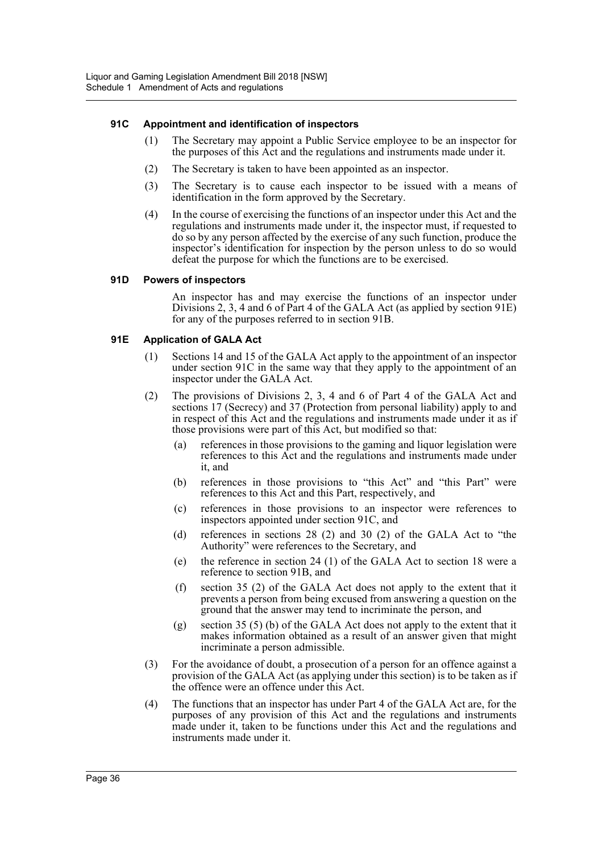### **91C Appointment and identification of inspectors**

- (1) The Secretary may appoint a Public Service employee to be an inspector for the purposes of this Act and the regulations and instruments made under it.
- (2) The Secretary is taken to have been appointed as an inspector.
- (3) The Secretary is to cause each inspector to be issued with a means of identification in the form approved by the Secretary.
- (4) In the course of exercising the functions of an inspector under this Act and the regulations and instruments made under it, the inspector must, if requested to do so by any person affected by the exercise of any such function, produce the inspector's identification for inspection by the person unless to do so would defeat the purpose for which the functions are to be exercised.

#### **91D Powers of inspectors**

An inspector has and may exercise the functions of an inspector under Divisions 2, 3, 4 and 6 of Part 4 of the GALA Act (as applied by section 91E) for any of the purposes referred to in section 91B.

#### **91E Application of GALA Act**

- (1) Sections 14 and 15 of the GALA Act apply to the appointment of an inspector under section 91C in the same way that they apply to the appointment of an inspector under the GALA Act.
- (2) The provisions of Divisions 2, 3, 4 and 6 of Part 4 of the GALA Act and sections 17 (Secrecy) and 37 (Protection from personal liability) apply to and in respect of this Act and the regulations and instruments made under it as if those provisions were part of this Act, but modified so that:
	- (a) references in those provisions to the gaming and liquor legislation were references to this Act and the regulations and instruments made under it, and
	- (b) references in those provisions to "this Act" and "this Part" were references to this Act and this Part, respectively, and
	- (c) references in those provisions to an inspector were references to inspectors appointed under section 91C, and
	- (d) references in sections 28 (2) and 30 (2) of the GALA Act to "the Authority" were references to the Secretary, and
	- (e) the reference in section 24 (1) of the GALA Act to section 18 were a reference to section 91B, and
	- (f) section 35 (2) of the GALA Act does not apply to the extent that it prevents a person from being excused from answering a question on the ground that the answer may tend to incriminate the person, and
	- (g) section 35 (5) (b) of the GALA Act does not apply to the extent that it makes information obtained as a result of an answer given that might incriminate a person admissible.
- (3) For the avoidance of doubt, a prosecution of a person for an offence against a provision of the GALA Act (as applying under this section) is to be taken as if the offence were an offence under this Act.
- (4) The functions that an inspector has under Part 4 of the GALA Act are, for the purposes of any provision of this Act and the regulations and instruments made under it, taken to be functions under this Act and the regulations and instruments made under it.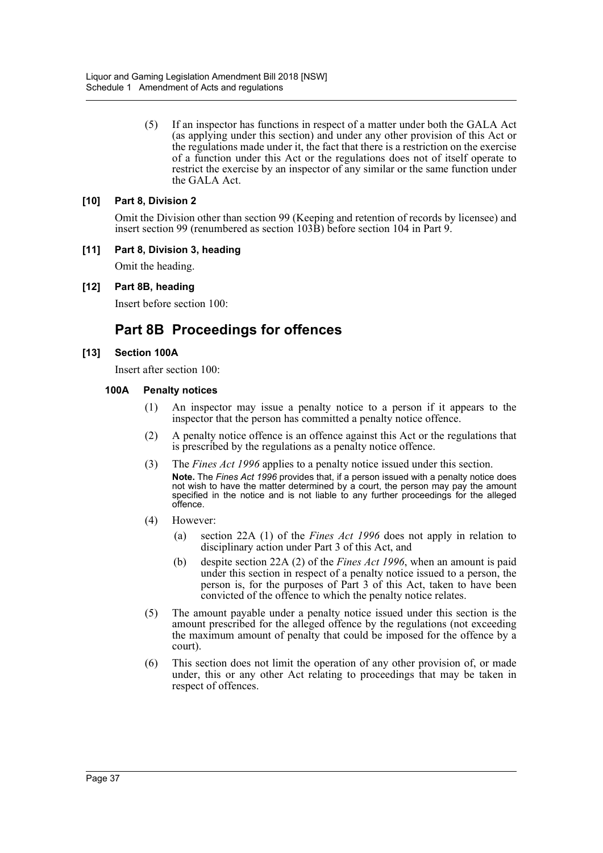(5) If an inspector has functions in respect of a matter under both the GALA Act (as applying under this section) and under any other provision of this Act or the regulations made under it, the fact that there is a restriction on the exercise of a function under this Act or the regulations does not of itself operate to restrict the exercise by an inspector of any similar or the same function under the GALA Act.

### **[10] Part 8, Division 2**

Omit the Division other than section 99 (Keeping and retention of records by licensee) and insert section 99 (renumbered as section 103B) before section 104 in Part 9.

### **[11] Part 8, Division 3, heading**

Omit the heading.

**[12] Part 8B, heading**

Insert before section 100:

# **Part 8B Proceedings for offences**

### **[13] Section 100A**

Insert after section 100:

#### **100A Penalty notices**

- (1) An inspector may issue a penalty notice to a person if it appears to the inspector that the person has committed a penalty notice offence.
- (2) A penalty notice offence is an offence against this Act or the regulations that is prescribed by the regulations as a penalty notice offence.
- (3) The *Fines Act 1996* applies to a penalty notice issued under this section. **Note.** The *Fines Act 1996* provides that, if a person issued with a penalty notice does not wish to have the matter determined by a court, the person may pay the amount specified in the notice and is not liable to any further proceedings for the alleged offence.
- (4) However:
	- (a) section 22A (1) of the *Fines Act 1996* does not apply in relation to disciplinary action under Part 3 of this Act, and
	- (b) despite section 22A (2) of the *Fines Act 1996*, when an amount is paid under this section in respect of a penalty notice issued to a person, the person is, for the purposes of Part 3 of this Act, taken to have been convicted of the offence to which the penalty notice relates.
- (5) The amount payable under a penalty notice issued under this section is the amount prescribed for the alleged offence by the regulations (not exceeding the maximum amount of penalty that could be imposed for the offence by a court).
- (6) This section does not limit the operation of any other provision of, or made under, this or any other Act relating to proceedings that may be taken in respect of offences.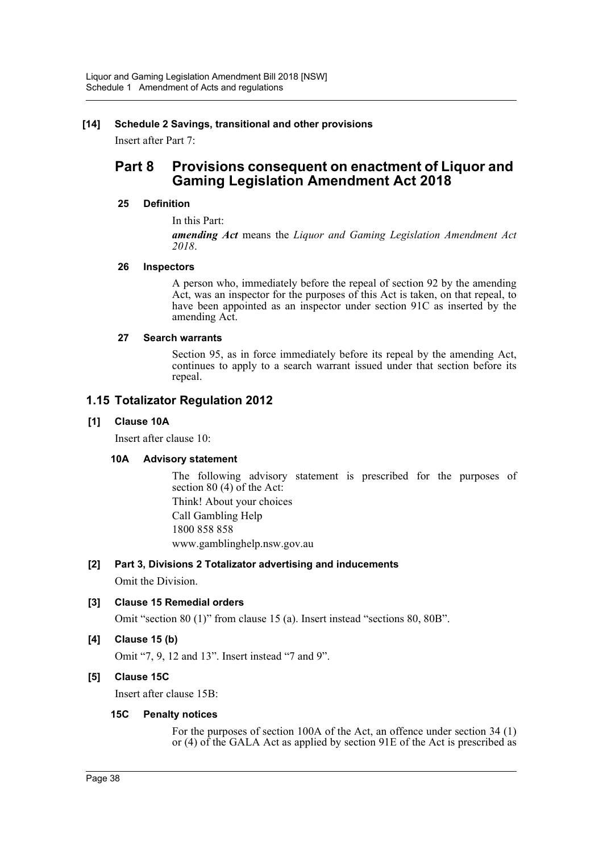### **[14] Schedule 2 Savings, transitional and other provisions**

Insert after Part 7:

# **Part 8 Provisions consequent on enactment of Liquor and Gaming Legislation Amendment Act 2018**

### **25 Definition**

In this Part:

*amending Act* means the *Liquor and Gaming Legislation Amendment Act 2018*.

#### **26 Inspectors**

A person who, immediately before the repeal of section 92 by the amending Act, was an inspector for the purposes of this Act is taken, on that repeal, to have been appointed as an inspector under section 91C as inserted by the amending Act.

#### **27 Search warrants**

Section 95, as in force immediately before its repeal by the amending Act, continues to apply to a search warrant issued under that section before its repeal.

### **1.15 Totalizator Regulation 2012**

### **[1] Clause 10A**

Insert after clause 10:

### **10A Advisory statement**

The following advisory statement is prescribed for the purposes of section 80 (4) of the Act:

Think! About your choices Call Gambling Help 1800 858 858 www.gamblinghelp.nsw.gov.au

### **[2] Part 3, Divisions 2 Totalizator advertising and inducements**

Omit the Division.

### **[3] Clause 15 Remedial orders**

Omit "section 80 (1)" from clause 15 (a). Insert instead "sections 80, 80B".

### **[4] Clause 15 (b)**

Omit "7, 9, 12 and 13". Insert instead "7 and 9".

### **[5] Clause 15C**

Insert after clause 15B:

### **15C Penalty notices**

For the purposes of section 100A of the Act, an offence under section 34 (1) or (4) of the GALA Act as applied by section 91E of the Act is prescribed as